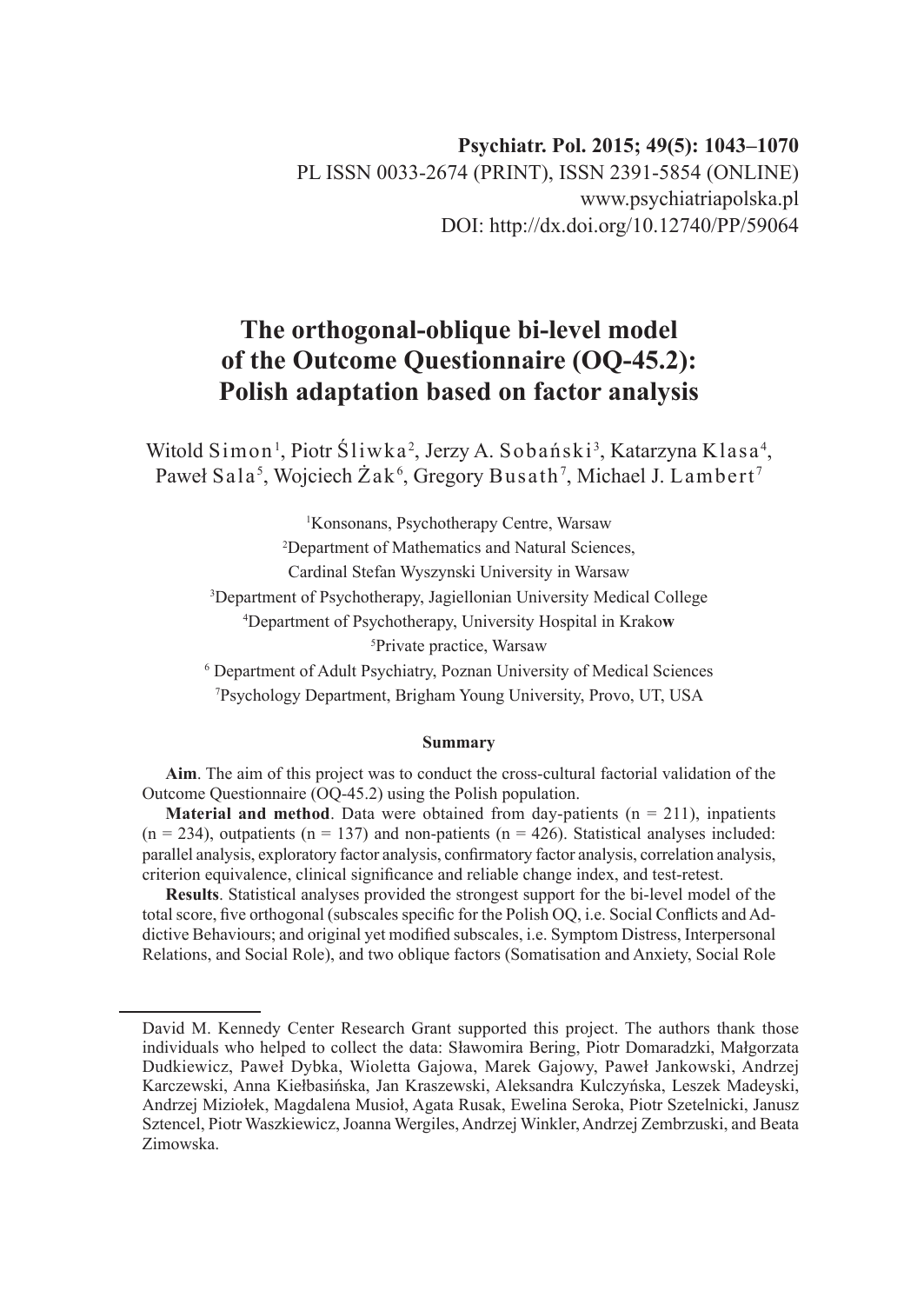# **The orthogonal-oblique bi-level model of the Outcome Questionnaire (OQ-45.2): Polish adaptation based on factor analysis**

Witold Simon<sup>1</sup>, Piotr Sliwka<sup>2</sup>, Jerzy A. Sobański<sup>3</sup>, Katarzyna Klasa<sup>4</sup>, Paweł Sala<sup>5</sup>, Wojciech Żak<sup>6</sup>, Gregory Busath<sup>7</sup>, Michael J. Lambert<sup>7</sup>

> Konsonans, Psychotherapy Centre, Warsaw Department of Mathematics and Natural Sciences, Cardinal Stefan Wyszynski University in Warsaw Department of Psychotherapy, Jagiellonian University Medical College Department of Psychotherapy, University Hospital in Krako**w** Private practice, Warsaw

6 Department of Adult Psychiatry, Poznan University of Medical Sciences 7 Psychology Department, Brigham Young University, Provo, UT, USA

#### **Summary**

**Aim**. The aim of this project was to conduct the cross-cultural factorial validation of the Outcome Questionnaire (OQ-45.2) using the Polish population.

**Material and method**. Data were obtained from day-patients ( $n = 211$ ), inpatients  $(n = 234)$ , outpatients  $(n = 137)$  and non-patients  $(n = 426)$ . Statistical analyses included: parallel analysis, exploratory factor analysis, confirmatory factor analysis, correlation analysis, criterion equivalence, clinical significance and reliable change index, and test-retest.

**Results**. Statistical analyses provided the strongest support for the bi-level model of the total score, five orthogonal (subscales specific for the Polish OQ, i.e. Social Conflicts and Addictive Behaviours; and original yet modified subscales, i.e. Symptom Distress, Interpersonal Relations, and Social Role), and two oblique factors (Somatisation and Anxiety, Social Role

David M. Kennedy Center Research Grant supported this project. The authors thank those individuals who helped to collect the data: Sławomira Bering, Piotr Domaradzki, Małgorzata Dudkiewicz, Paweł Dybka, Wioletta Gajowa, Marek Gajowy, Paweł Jankowski, Andrzej Karczewski, Anna Kiełbasińska, Jan Kraszewski, Aleksandra Kulczyńska, Leszek Madeyski, Andrzej Miziołek, Magdalena Musioł, Agata Rusak, Ewelina Seroka, Piotr Szetelnicki, Janusz Sztencel, Piotr Waszkiewicz, Joanna Wergiles, Andrzej Winkler, Andrzej Zembrzuski, and Beata Zimowska.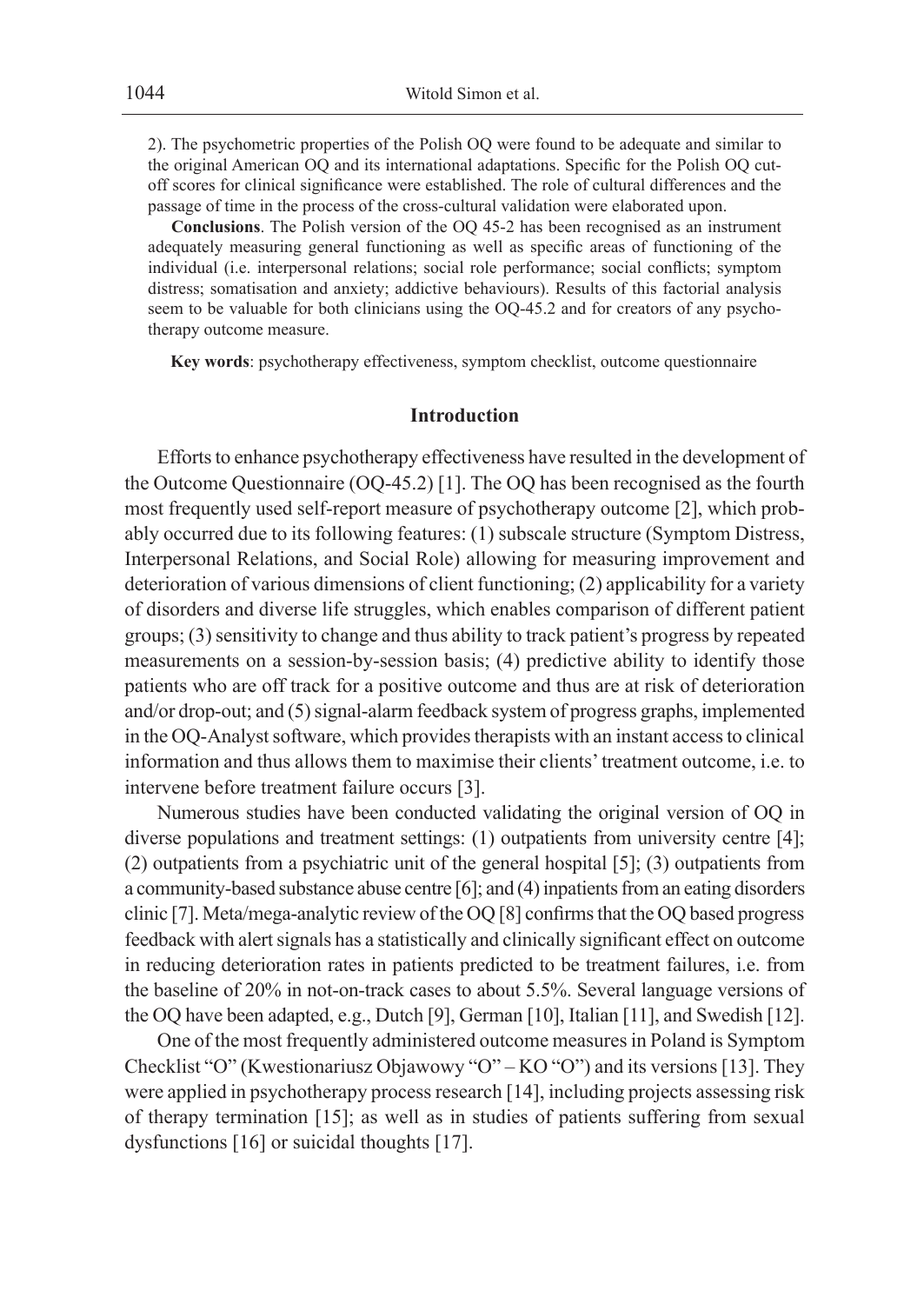2). The psychometric properties of the Polish OQ were found to be adequate and similar to the original American OQ and its international adaptations. Specific for the Polish OQ cutoff scores for clinical significance were established. The role of cultural differences and the passage of time in the process of the cross-cultural validation were elaborated upon.

**Conclusions**. The Polish version of the OQ 45-2 has been recognised as an instrument adequately measuring general functioning as well as specific areas of functioning of the individual (i.e. interpersonal relations; social role performance; social conflicts; symptom distress; somatisation and anxiety; addictive behaviours). Results of this factorial analysis seem to be valuable for both clinicians using the OQ-45.2 and for creators of any psychotherapy outcome measure.

**Key words**: psychotherapy effectiveness, symptom checklist, outcome questionnaire

### **Introduction**

Efforts to enhance psychotherapy effectiveness have resulted in the development of the Outcome Questionnaire (OQ-45.2) [1]. The OQ has been recognised as the fourth most frequently used self-report measure of psychotherapy outcome [2], which probably occurred due to its following features: (1) subscale structure (Symptom Distress, Interpersonal Relations, and Social Role) allowing for measuring improvement and deterioration of various dimensions of client functioning; (2) applicability for a variety of disorders and diverse life struggles, which enables comparison of different patient groups; (3) sensitivity to change and thus ability to track patient's progress by repeated measurements on a session-by-session basis; (4) predictive ability to identify those patients who are off track for a positive outcome and thus are at risk of deterioration and/or drop-out; and (5) signal-alarm feedback system of progress graphs, implemented in the OQ-Analyst software, which provides therapists with an instant access to clinical information and thus allows them to maximise their clients' treatment outcome, i.e. to intervene before treatment failure occurs [3].

Numerous studies have been conducted validating the original version of OQ in diverse populations and treatment settings: (1) outpatients from university centre [4]; (2) outpatients from a psychiatric unit of the general hospital [5]; (3) outpatients from a community-based substance abuse centre [6]; and (4) inpatients from an eating disorders clinic [7]. Meta/mega-analytic review of the OQ [8] confirms that the OQ based progress feedback with alert signals has a statistically and clinically significant effect on outcome in reducing deterioration rates in patients predicted to be treatment failures, i.e. from the baseline of 20% in not-on-track cases to about 5.5%. Several language versions of the OQ have been adapted, e.g., Dutch [9], German [10], Italian [11], and Swedish [12].

One of the most frequently administered outcome measures in Poland is Symptom Checklist "O" (Kwestionariusz Objawowy "O" – KO "O") and its versions [13]. They were applied in psychotherapy process research [14], including projects assessing risk of therapy termination [15]; as well as in studies of patients suffering from sexual dysfunctions [16] or suicidal thoughts [17].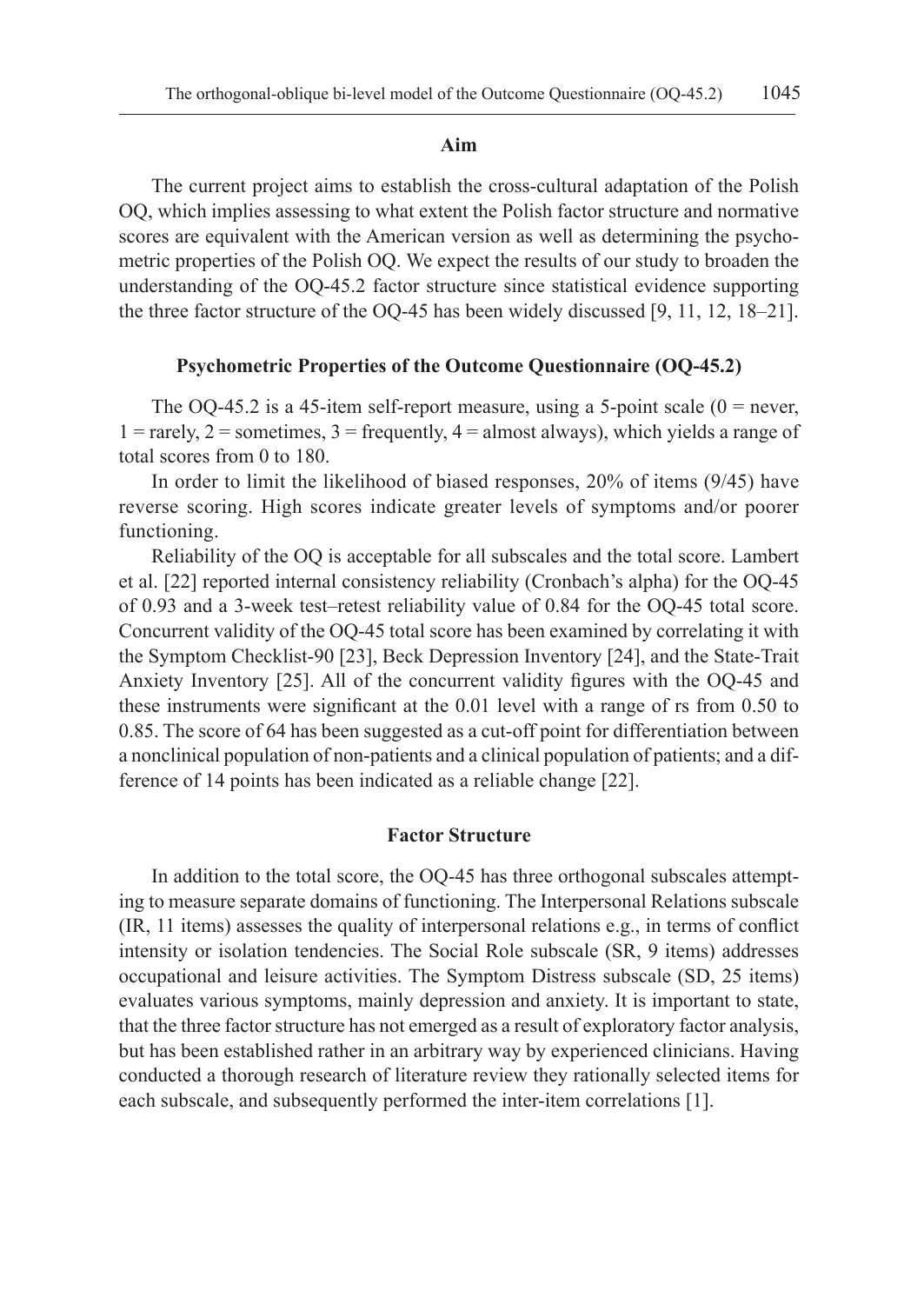#### **Aim**

The current project aims to establish the cross-cultural adaptation of the Polish OQ, which implies assessing to what extent the Polish factor structure and normative scores are equivalent with the American version as well as determining the psychometric properties of the Polish OQ. We expect the results of our study to broaden the understanding of the OQ-45.2 factor structure since statistical evidence supporting the three factor structure of the OQ-45 has been widely discussed [9, 11, 12, 18–21].

### **Psychometric Properties of the Outcome Questionnaire (OQ-45.2)**

The OQ-45.2 is a 45-item self-report measure, using a 5-point scale  $(0 =$  never,  $1 = \text{rarely}, 2 = \text{sometimes}, 3 = \text{frequently}, 4 = \text{almost always},$  which yields a range of total scores from 0 to 180.

In order to limit the likelihood of biased responses, 20% of items (9/45) have reverse scoring. High scores indicate greater levels of symptoms and/or poorer functioning.

Reliability of the OQ is acceptable for all subscales and the total score. Lambert et al. [22] reported internal consistency reliability (Cronbach's alpha) for the OQ-45 of 0.93 and a 3-week test–retest reliability value of 0.84 for the OQ-45 total score. Concurrent validity of the OQ-45 total score has been examined by correlating it with the Symptom Checklist-90 [23], Beck Depression Inventory [24], and the State-Trait Anxiety Inventory [25]. All of the concurrent validity figures with the OQ-45 and these instruments were significant at the 0.01 level with a range of rs from 0.50 to 0.85. The score of 64 has been suggested as a cut-off point for differentiation between a nonclinical population of non-patients and a clinical population of patients; and a difference of 14 points has been indicated as a reliable change [22].

### **Factor Structure**

In addition to the total score, the OQ-45 has three orthogonal subscales attempting to measure separate domains of functioning. The Interpersonal Relations subscale (IR, 11 items) assesses the quality of interpersonal relations e.g., in terms of conflict intensity or isolation tendencies. The Social Role subscale (SR, 9 items) addresses occupational and leisure activities. The Symptom Distress subscale (SD, 25 items) evaluates various symptoms, mainly depression and anxiety. It is important to state, that the three factor structure has not emerged as a result of exploratory factor analysis, but has been established rather in an arbitrary way by experienced clinicians. Having conducted a thorough research of literature review they rationally selected items for each subscale, and subsequently performed the inter-item correlations [1].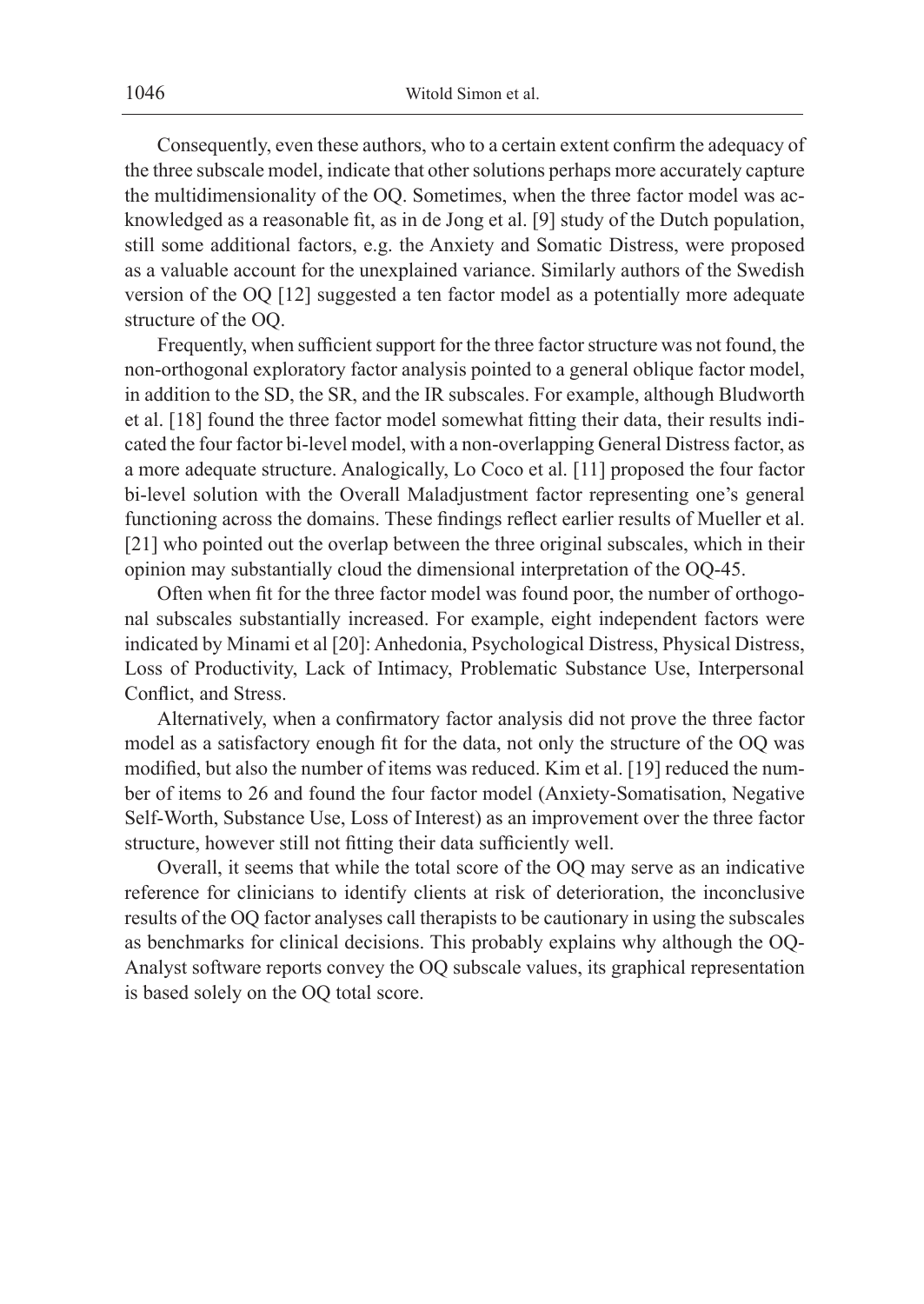Consequently, even these authors, who to a certain extent confirm the adequacy of the three subscale model, indicate that other solutions perhaps more accurately capture the multidimensionality of the OQ. Sometimes, when the three factor model was acknowledged as a reasonable fit, as in de Jong et al. [9] study of the Dutch population, still some additional factors, e.g. the Anxiety and Somatic Distress, were proposed as a valuable account for the unexplained variance. Similarly authors of the Swedish version of the OQ [12] suggested a ten factor model as a potentially more adequate structure of the OQ.

Frequently, when sufficient support for the three factor structure was not found, the non-orthogonal exploratory factor analysis pointed to a general oblique factor model, in addition to the SD, the SR, and the IR subscales. For example, although Bludworth et al. [18] found the three factor model somewhat fitting their data, their results indicated the four factor bi-level model, with a non-overlapping General Distress factor, as a more adequate structure. Analogically, Lo Coco et al. [11] proposed the four factor bi-level solution with the Overall Maladjustment factor representing one's general functioning across the domains. These findings reflect earlier results of Mueller et al. [21] who pointed out the overlap between the three original subscales, which in their opinion may substantially cloud the dimensional interpretation of the OQ-45.

Often when fit for the three factor model was found poor, the number of orthogonal subscales substantially increased. For example, eight independent factors were indicated by Minami et al [20]: Anhedonia, Psychological Distress, Physical Distress, Loss of Productivity, Lack of Intimacy, Problematic Substance Use, Interpersonal Conflict, and Stress.

Alternatively, when a confirmatory factor analysis did not prove the three factor model as a satisfactory enough fit for the data, not only the structure of the OQ was modified, but also the number of items was reduced. Kim et al. [19] reduced the number of items to 26 and found the four factor model (Anxiety-Somatisation, Negative Self-Worth, Substance Use, Loss of Interest) as an improvement over the three factor structure, however still not fitting their data sufficiently well.

Overall, it seems that while the total score of the OQ may serve as an indicative reference for clinicians to identify clients at risk of deterioration, the inconclusive results of the OQ factor analyses call therapists to be cautionary in using the subscales as benchmarks for clinical decisions. This probably explains why although the OQ-Analyst software reports convey the OQ subscale values, its graphical representation is based solely on the OQ total score.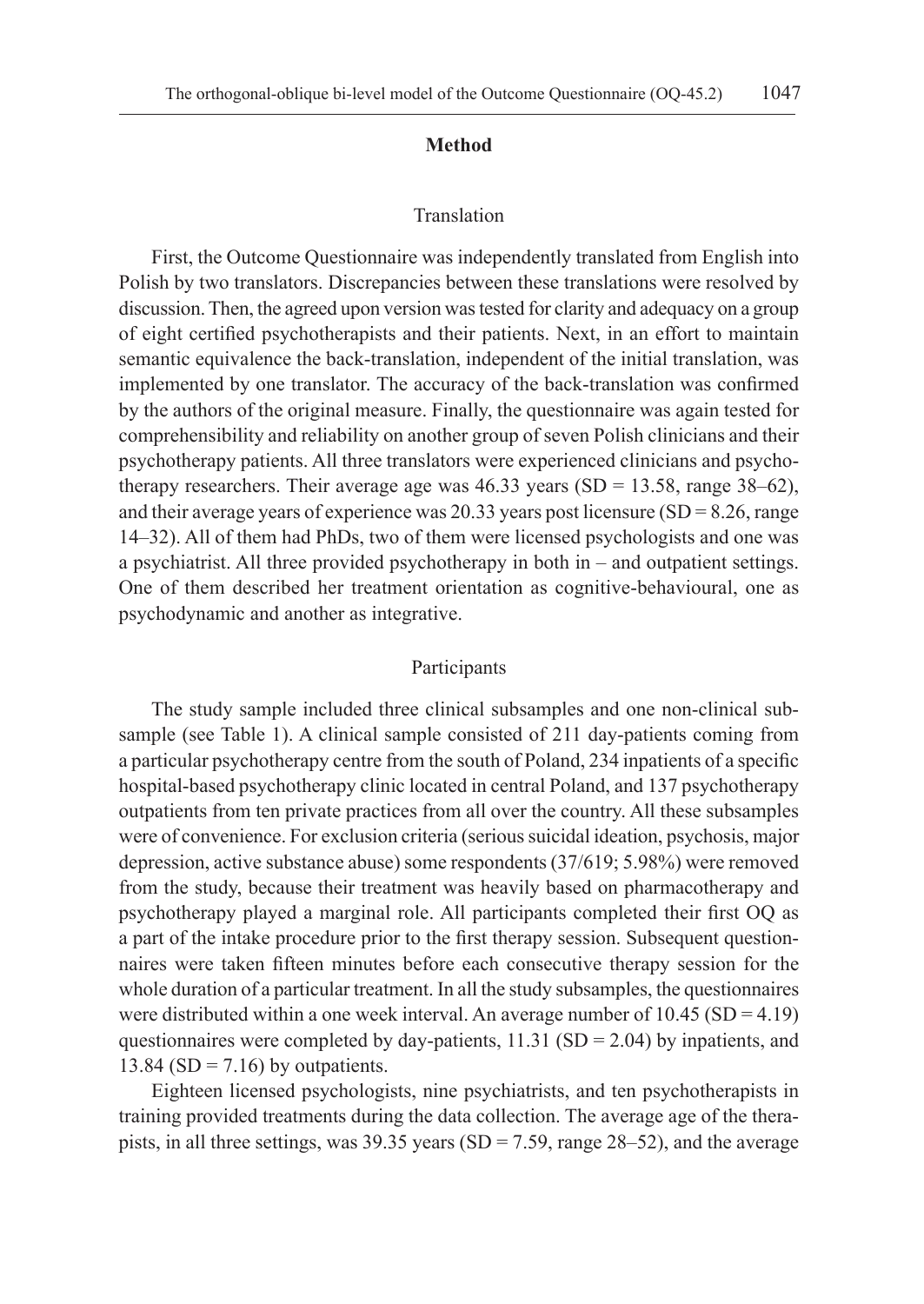### **Method**

### Translation

First, the Outcome Questionnaire was independently translated from English into Polish by two translators. Discrepancies between these translations were resolved by discussion. Then, the agreed upon version was tested for clarity and adequacy on a group of eight certified psychotherapists and their patients. Next, in an effort to maintain semantic equivalence the back-translation, independent of the initial translation, was implemented by one translator. The accuracy of the back-translation was confirmed by the authors of the original measure. Finally, the questionnaire was again tested for comprehensibility and reliability on another group of seven Polish clinicians and their psychotherapy patients. All three translators were experienced clinicians and psychotherapy researchers. Their average age was  $46.33$  years (SD = 13.58, range  $38-62$ ), and their average years of experience was  $20.33$  years post licensure (SD = 8.26, range 14–32). All of them had PhDs, two of them were licensed psychologists and one was a psychiatrist. All three provided psychotherapy in both in – and outpatient settings. One of them described her treatment orientation as cognitive-behavioural, one as psychodynamic and another as integrative.

### Participants

The study sample included three clinical subsamples and one non-clinical subsample (see Table 1). A clinical sample consisted of 211 day-patients coming from a particular psychotherapy centre from the south of Poland, 234 inpatients of a specific hospital-based psychotherapy clinic located in central Poland, and 137 psychotherapy outpatients from ten private practices from all over the country. All these subsamples were of convenience. For exclusion criteria (serious suicidal ideation, psychosis, major depression, active substance abuse) some respondents (37/619; 5.98%) were removed from the study, because their treatment was heavily based on pharmacotherapy and psychotherapy played a marginal role. All participants completed their first OQ as a part of the intake procedure prior to the first therapy session. Subsequent questionnaires were taken fifteen minutes before each consecutive therapy session for the whole duration of a particular treatment. In all the study subsamples, the questionnaires were distributed within a one week interval. An average number of 10.45 (SD = 4.19) questionnaires were completed by day-patients,  $11.31$  (SD = 2.04) by inpatients, and  $13.84$  (SD = 7.16) by outpatients.

Eighteen licensed psychologists, nine psychiatrists, and ten psychotherapists in training provided treatments during the data collection. The average age of the therapists, in all three settings, was 39.35 years (SD = 7.59, range 28–52), and the average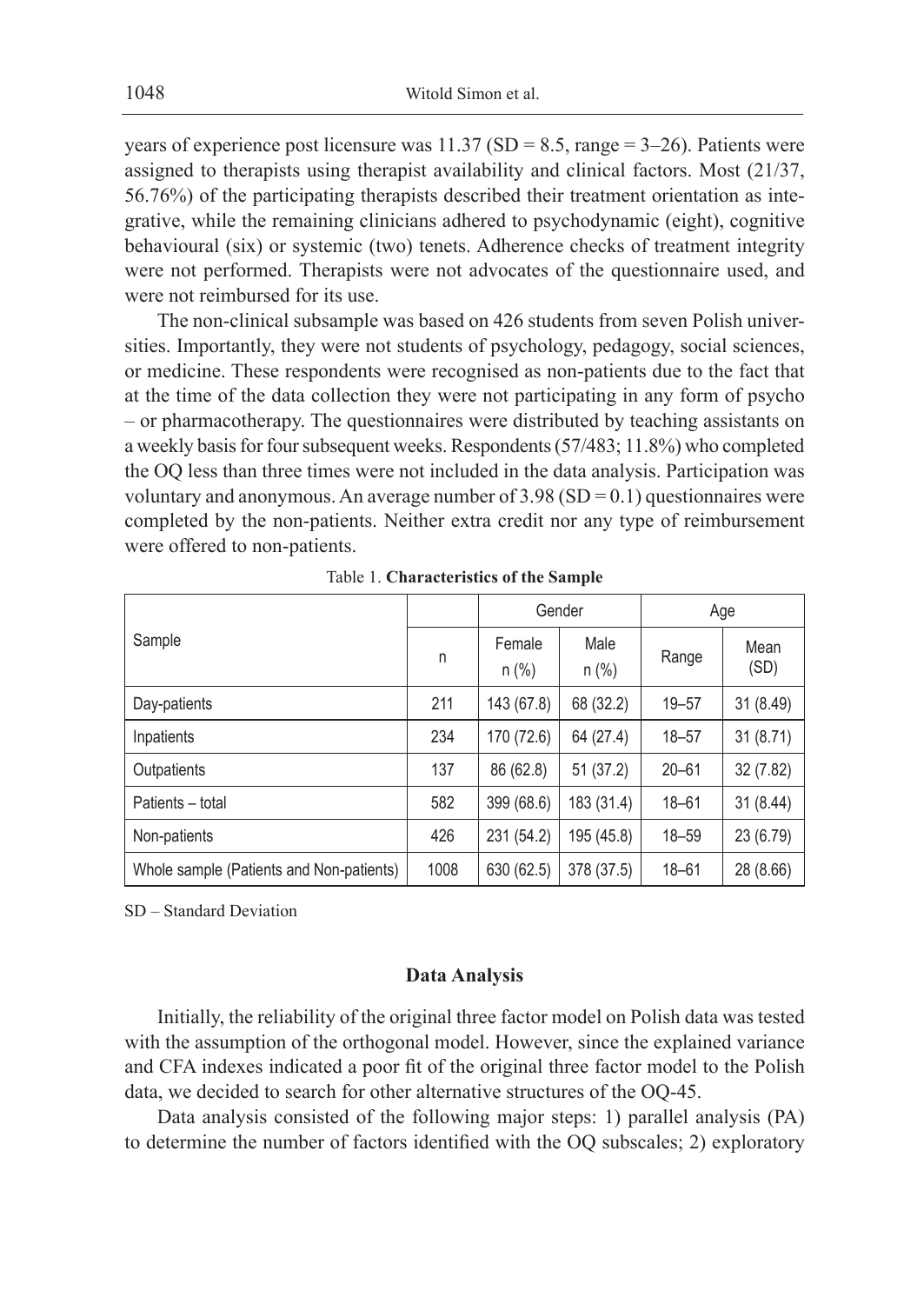1048 Witold Simon et al.

years of experience post licensure was  $11.37$  (SD = 8.5, range = 3–26). Patients were assigned to therapists using therapist availability and clinical factors. Most (21/37, 56.76%) of the participating therapists described their treatment orientation as integrative, while the remaining clinicians adhered to psychodynamic (eight), cognitive behavioural (six) or systemic (two) tenets. Adherence checks of treatment integrity were not performed. Therapists were not advocates of the questionnaire used, and were not reimbursed for its use.

The non-clinical subsample was based on 426 students from seven Polish universities. Importantly, they were not students of psychology, pedagogy, social sciences, or medicine. These respondents were recognised as non-patients due to the fact that at the time of the data collection they were not participating in any form of psycho – or pharmacotherapy. The questionnaires were distributed by teaching assistants on a weekly basis for four subsequent weeks. Respondents (57/483; 11.8%) who completed the OQ less than three times were not included in the data analysis. Participation was voluntary and anonymous. An average number of  $3.98$  (SD = 0.1) questionnaires were completed by the non-patients. Neither extra credit nor any type of reimbursement were offered to non-patients.

|                                          |      | Gender            |                 | Age       |              |
|------------------------------------------|------|-------------------|-----------------|-----------|--------------|
| Sample                                   | n    | Female<br>$n$ (%) | Male<br>$n$ (%) | Range     | Mean<br>(SD) |
| Day-patients                             | 211  | 143 (67.8)        | 68 (32.2)       | $19 - 57$ | 31 (8.49)    |
| Inpatients                               | 234  | 170 (72.6)        | 64 (27.4)       | $18 - 57$ | 31(8.71)     |
| Outpatients                              | 137  | 86 (62.8)         | 51(37.2)        | $20 - 61$ | 32 (7.82)    |
| Patients - total                         | 582  | 399 (68.6)        | 183 (31.4)      | $18 - 61$ | 31 (8.44)    |
| Non-patients                             | 426  | 231 (54.2)        | 195 (45.8)      | $18 - 59$ | 23 (6.79)    |
| Whole sample (Patients and Non-patients) | 1008 | 630 (62.5)        | 378 (37.5)      | $18 - 61$ | 28 (8.66)    |

Table 1. **Characteristics of the Sample**

SD – Standard Deviation

### **Data Analysis**

Initially, the reliability of the original three factor model on Polish data was tested with the assumption of the orthogonal model. However, since the explained variance and CFA indexes indicated a poor fit of the original three factor model to the Polish data, we decided to search for other alternative structures of the OQ-45.

Data analysis consisted of the following major steps: 1) parallel analysis (PA) to determine the number of factors identified with the OQ subscales; 2) exploratory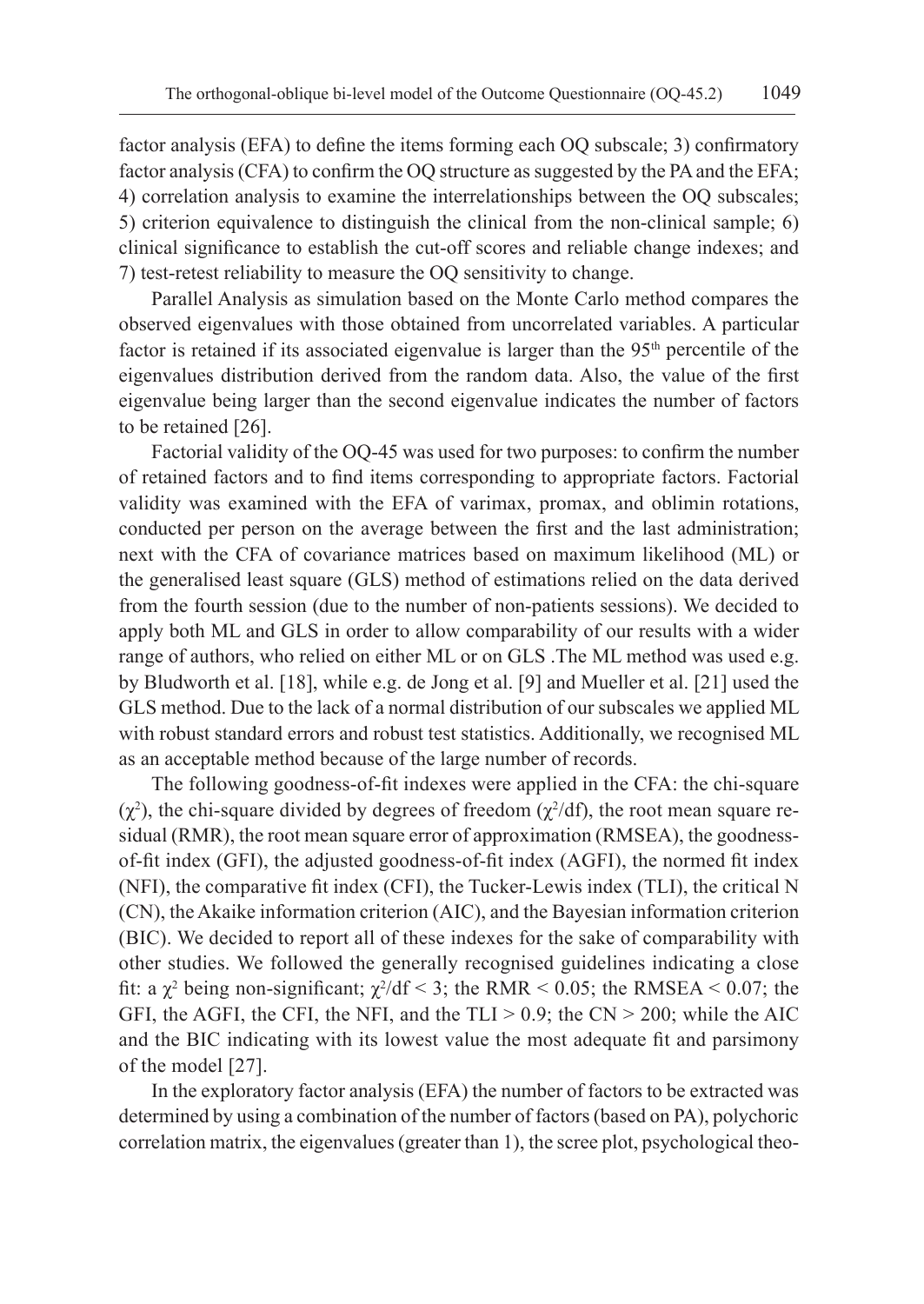factor analysis (EFA) to define the items forming each OQ subscale; 3) confirmatory factor analysis (CFA) to confirm the OQ structure as suggested by the PA and the EFA; 4) correlation analysis to examine the interrelationships between the OQ subscales; 5) criterion equivalence to distinguish the clinical from the non-clinical sample; 6) clinical significance to establish the cut-off scores and reliable change indexes; and 7) test-retest reliability to measure the OQ sensitivity to change.

Parallel Analysis as simulation based on the Monte Carlo method compares the observed eigenvalues with those obtained from uncorrelated variables. A particular factor is retained if its associated eigenvalue is larger than the  $95<sup>th</sup>$  percentile of the eigenvalues distribution derived from the random data. Also, the value of the first eigenvalue being larger than the second eigenvalue indicates the number of factors to be retained [26].

Factorial validity of the OQ-45 was used for two purposes: to confirm the number of retained factors and to find items corresponding to appropriate factors. Factorial validity was examined with the EFA of varimax, promax, and oblimin rotations, conducted per person on the average between the first and the last administration; next with the CFA of covariance matrices based on maximum likelihood (ML) or the generalised least square (GLS) method of estimations relied on the data derived from the fourth session (due to the number of non-patients sessions). We decided to apply both ML and GLS in order to allow comparability of our results with a wider range of authors, who relied on either ML or on GLS .The ML method was used e.g. by Bludworth et al. [18], while e.g. de Jong et al. [9] and Mueller et al. [21] used the GLS method. Due to the lack of a normal distribution of our subscales we applied ML with robust standard errors and robust test statistics. Additionally, we recognised ML as an acceptable method because of the large number of records.

The following goodness-of-fit indexes were applied in the CFA: the chi-square  $(χ<sup>2</sup>)$ , the chi-square divided by degrees of freedom  $(χ<sup>2</sup>/df)$ , the root mean square residual (RMR), the root mean square error of approximation (RMSEA), the goodnessof-fit index (GFI), the adjusted goodness-of-fit index (AGFI), the normed fit index (NFI), the comparative fit index (CFI), the Tucker-Lewis index (TLI), the critical N (CN), the Akaike information criterion (AIC), and the Bayesian information criterion (BIC). We decided to report all of these indexes for the sake of comparability with other studies. We followed the generally recognised guidelines indicating a close fit: a  $\chi^2$  being non-significant;  $\chi^2/df < 3$ ; the RMR < 0.05; the RMSEA < 0.07; the GFI, the AGFI, the CFI, the NFI, and the  $TLI > 0.9$ ; the  $CN > 200$ ; while the AIC and the BIC indicating with its lowest value the most adequate fit and parsimony of the model [27].

In the exploratory factor analysis (EFA) the number of factors to be extracted was determined by using a combination of the number of factors (based on PA), polychoric correlation matrix, the eigenvalues (greater than 1), the scree plot, psychological theo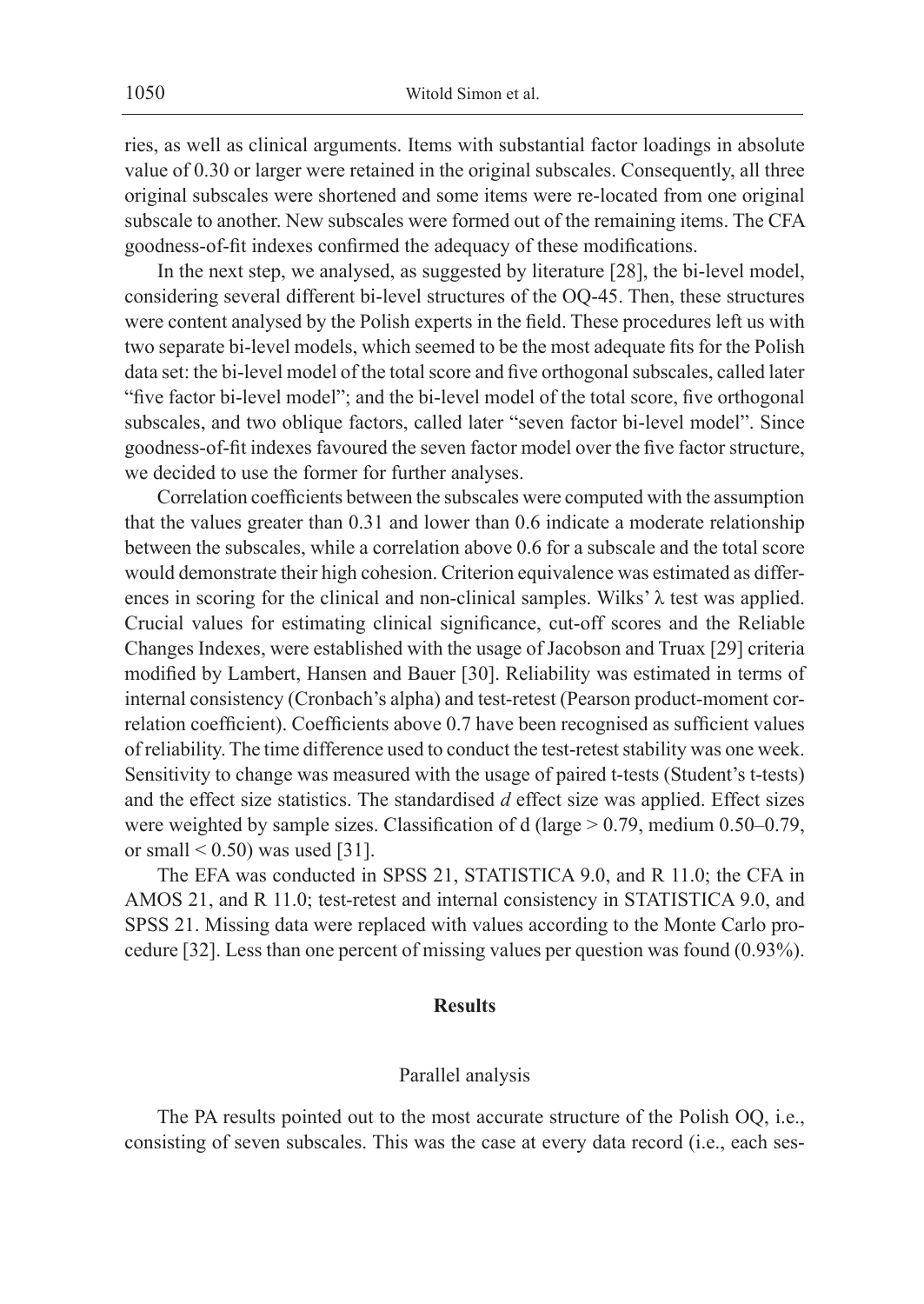ries, as well as clinical arguments. Items with substantial factor loadings in absolute value of 0.30 or larger were retained in the original subscales. Consequently, all three original subscales were shortened and some items were re-located from one original subscale to another. New subscales were formed out of the remaining items. The CFA goodness-of-fit indexes confirmed the adequacy of these modifications.

In the next step, we analysed, as suggested by literature [28], the bi-level model, considering several different bi-level structures of the OQ-45. Then, these structures were content analysed by the Polish experts in the field. These procedures left us with two separate bi-level models, which seemed to be the most adequate fits for the Polish data set: the bi-level model of the total score and five orthogonal subscales, called later "five factor bi-level model"; and the bi-level model of the total score, five orthogonal subscales, and two oblique factors, called later "seven factor bi-level model". Since goodness-of-fit indexes favoured the seven factor model over the five factor structure, we decided to use the former for further analyses.

Correlation coefficients between the subscales were computed with the assumption that the values greater than 0.31 and lower than 0.6 indicate a moderate relationship between the subscales, while a correlation above 0.6 for a subscale and the total score would demonstrate their high cohesion. Criterion equivalence was estimated as differences in scoring for the clinical and non-clinical samples. Wilks' λ test was applied. Crucial values for estimating clinical significance, cut-off scores and the Reliable Changes Indexes, were established with the usage of Jacobson and Truax [29] criteria modified by Lambert, Hansen and Bauer [30]. Reliability was estimated in terms of internal consistency (Cronbach's alpha) and test-retest (Pearson product-moment correlation coefficient). Coefficients above 0.7 have been recognised as sufficient values of reliability. The time difference used to conduct the test-retest stability was one week. Sensitivity to change was measured with the usage of paired t-tests (Student's t-tests) and the effect size statistics. The standardised *d* effect size was applied. Effect sizes were weighted by sample sizes. Classification of d (large > 0.79, medium 0.50–0.79, or small  $< 0.50$ ) was used [31].

The EFA was conducted in SPSS 21, STATISTICA 9.0, and R 11.0; the CFA in AMOS 21, and R 11.0; test-retest and internal consistency in STATISTICA 9.0, and SPSS 21. Missing data were replaced with values according to the Monte Carlo procedure [32]. Less than one percent of missing values per question was found (0.93%).

### **Results**

### Parallel analysis

The PA results pointed out to the most accurate structure of the Polish OQ, i.e., consisting of seven subscales. This was the case at every data record (i.e., each ses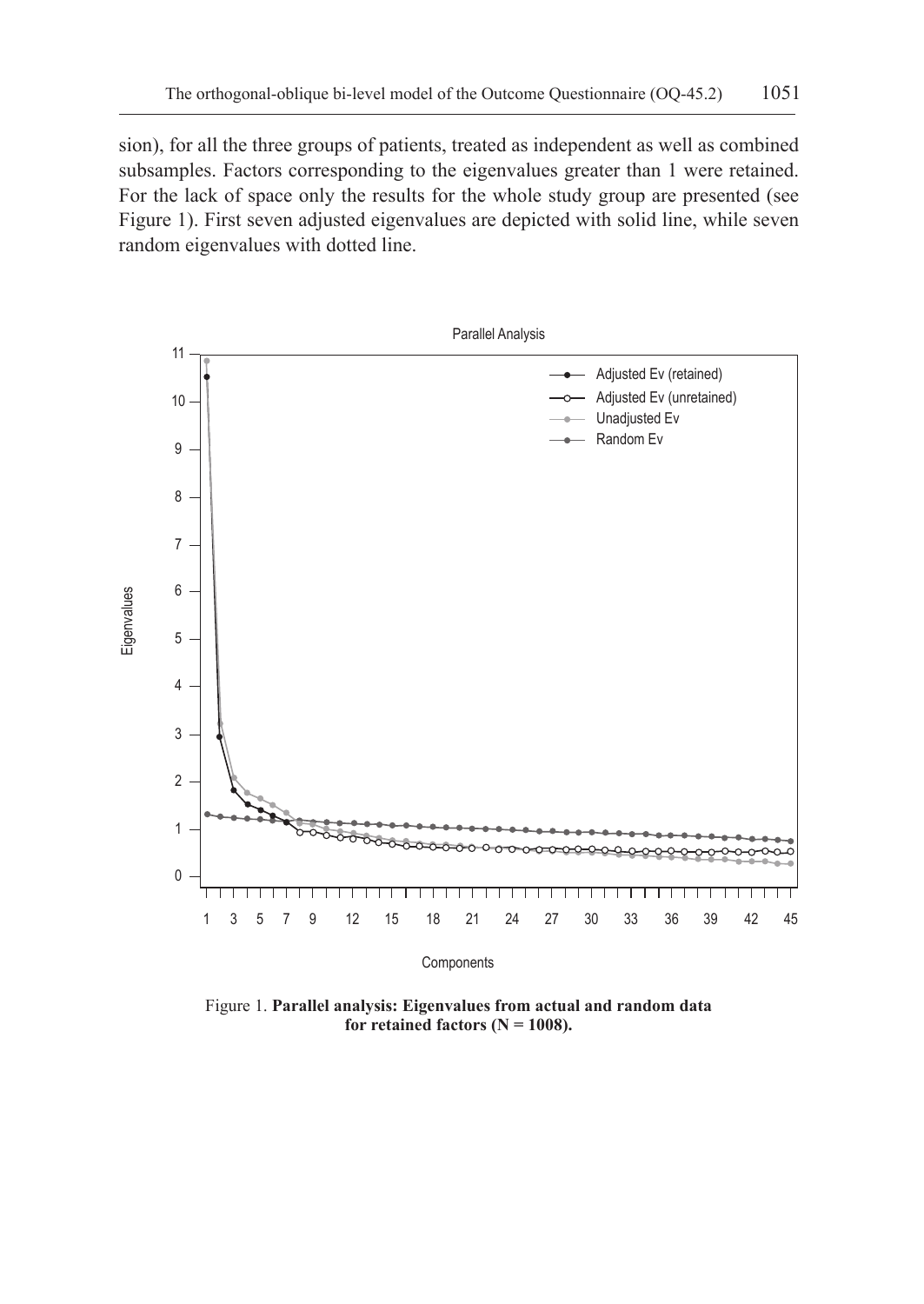sion), for all the three groups of patients, treated as independent as well as combined subsamples. Factors corresponding to the eigenvalues greater than 1 were retained. For the lack of space only the results for the whole study group are presented (see Figure 1). First seven adjusted eigenvalues are depicted with solid line, while seven random eigenvalues with dotted line.



Figure 1. **Parallel analysis: Eigenvalues from actual and random data** for retained factors  $(N = 1008)$ .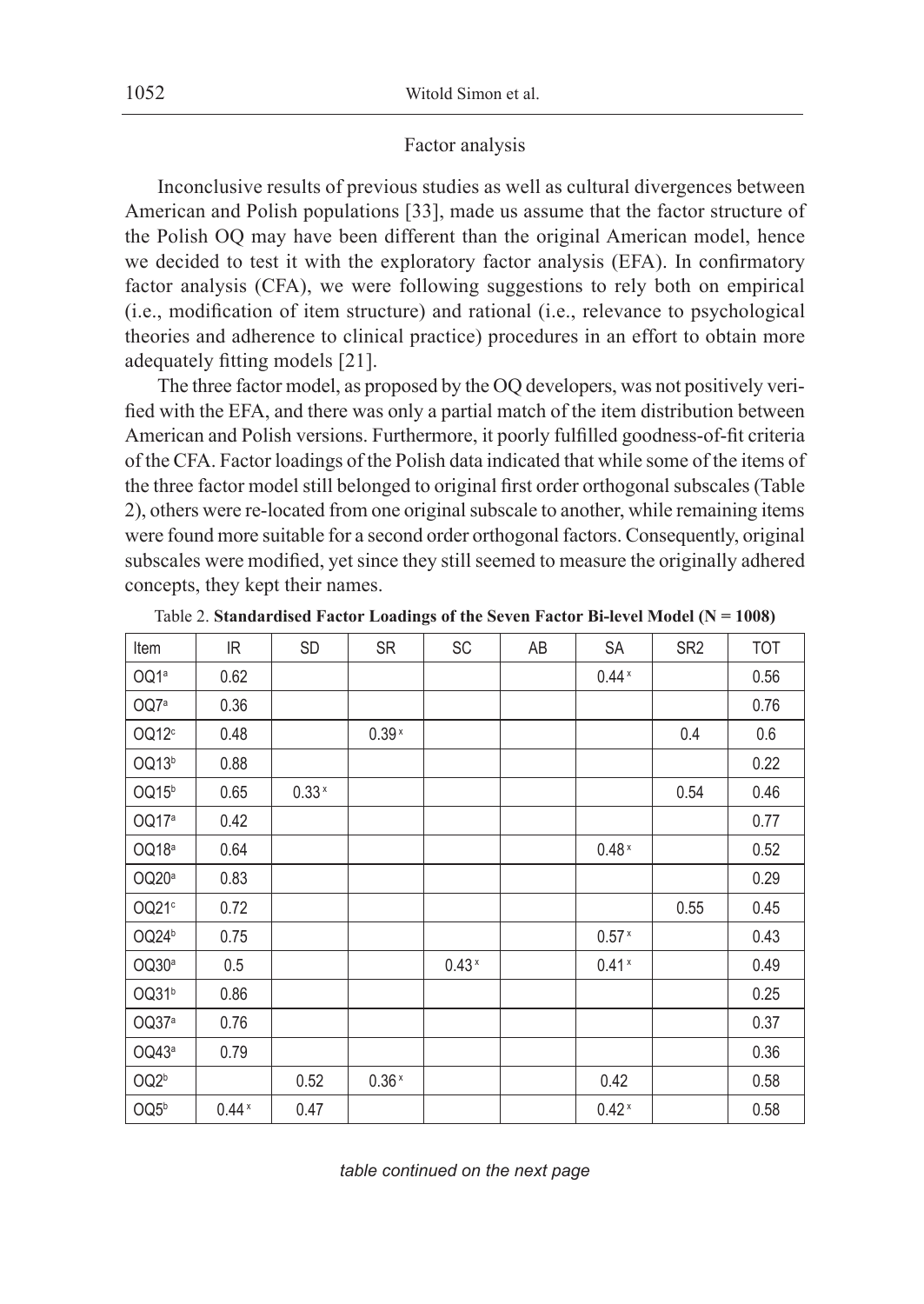### Factor analysis

Inconclusive results of previous studies as well as cultural divergences between American and Polish populations [33], made us assume that the factor structure of the Polish OQ may have been different than the original American model, hence we decided to test it with the exploratory factor analysis (EFA). In confirmatory factor analysis (CFA), we were following suggestions to rely both on empirical (i.e., modification of item structure) and rational (i.e., relevance to psychological theories and adherence to clinical practice) procedures in an effort to obtain more adequately fitting models [21].

The three factor model, as proposed by the OQ developers, was not positively verified with the EFA, and there was only a partial match of the item distribution between American and Polish versions. Furthermore, it poorly fulfilled goodness-of-fit criteria of the CFA. Factor loadings of the Polish data indicated that while some of the items of the three factor model still belonged to original first order orthogonal subscales (Table 2), others were re-located from one original subscale to another, while remaining items were found more suitable for a second order orthogonal factors. Consequently, original subscales were modified, yet since they still seemed to measure the originally adhered concepts, they kept their names.

| Item              | IR      | <b>SD</b> | <b>SR</b> | SC      | AB | SA      | SR <sub>2</sub> | <b>TOT</b> |
|-------------------|---------|-----------|-----------|---------|----|---------|-----------------|------------|
| OQ1ª              | 0.62    |           |           |         |    | $0.44*$ |                 | 0.56       |
| OQ7ª              | 0.36    |           |           |         |    |         |                 | 0.76       |
| OQ12c             | 0.48    |           | $0.39*$   |         |    |         | 0.4             | 0.6        |
| OQ13b             | 0.88    |           |           |         |    |         |                 | 0.22       |
| OQ15 <sup>b</sup> | 0.65    | $0.33*$   |           |         |    |         | 0.54            | 0.46       |
| OQ17ª             | 0.42    |           |           |         |    |         |                 | 0.77       |
| OQ18ª             | 0.64    |           |           |         |    | $0.48*$ |                 | 0.52       |
| OQ20ª             | 0.83    |           |           |         |    |         |                 | 0.29       |
| OQ21 <sup>c</sup> | 0.72    |           |           |         |    |         | 0.55            | 0.45       |
| OQ24 <sup>b</sup> | 0.75    |           |           |         |    | $0.57*$ |                 | 0.43       |
| OQ30ª             | 0.5     |           |           | $0.43*$ |    | $0.41*$ |                 | 0.49       |
| OQ31 <sup>b</sup> | 0.86    |           |           |         |    |         |                 | 0.25       |
| OQ37ª             | 0.76    |           |           |         |    |         |                 | 0.37       |
| OQ43ª             | 0.79    |           |           |         |    |         |                 | 0.36       |
| OQ <sub>2b</sub>  |         | 0.52      | $0.36*$   |         |    | 0.42    |                 | 0.58       |
| OQ5 <sup>b</sup>  | $0.44*$ | 0.47      |           |         |    | $0.42*$ |                 | 0.58       |

Table 2. **Standardised Factor Loadings of the Seven Factor Bi-level Model (N = 1008)**

*table continued on the next page*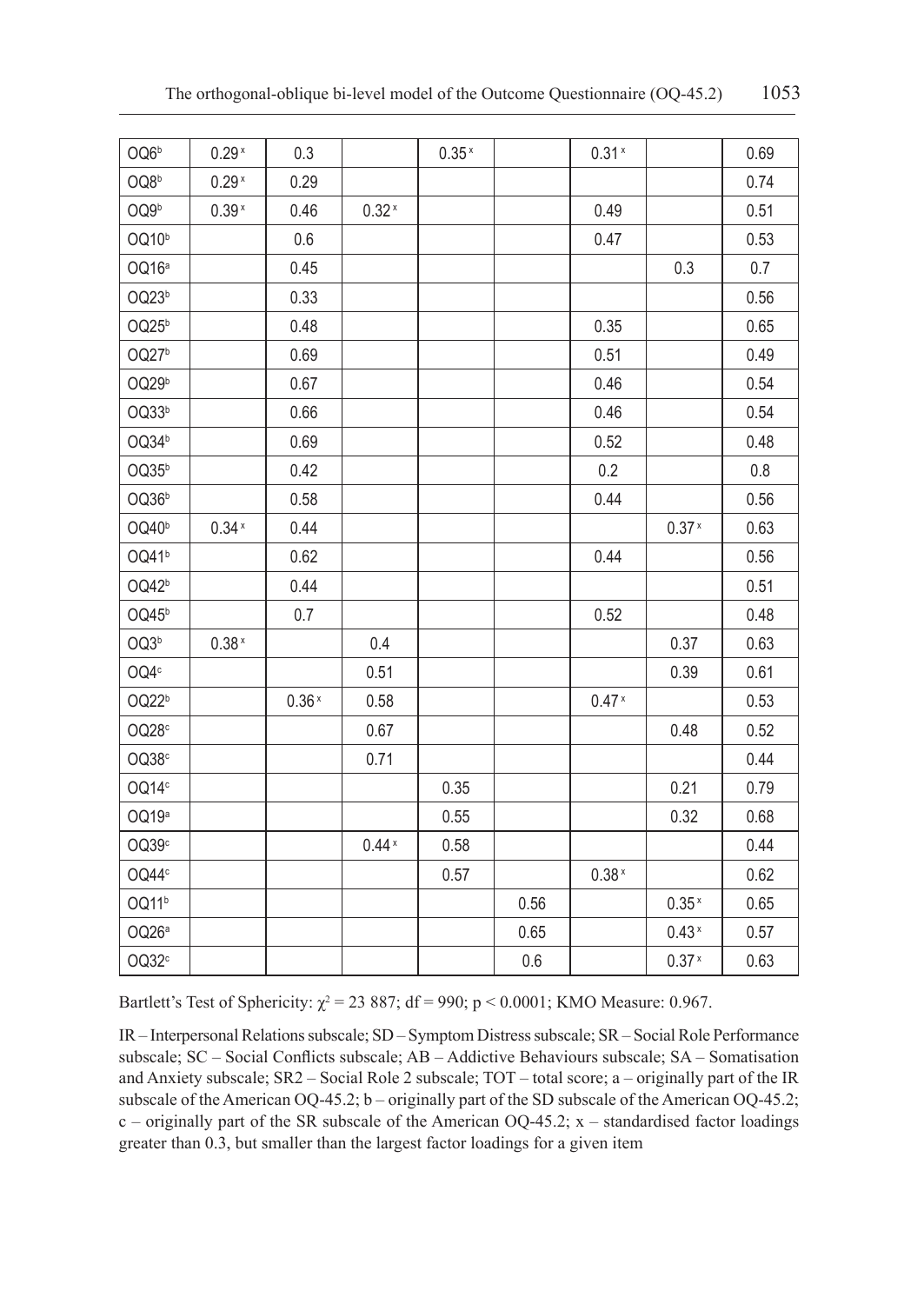| OQ6 <sup>b</sup>  | $0.29*$           | 0.3     |         | 0.35 <sup>x</sup> |      | 0.31 <sup>x</sup> |                   | 0.69 |
|-------------------|-------------------|---------|---------|-------------------|------|-------------------|-------------------|------|
| OQ8 <sup>b</sup>  | 0.29 <sup>x</sup> | 0.29    |         |                   |      |                   |                   | 0.74 |
| OQ9b              | $0.39*$           | 0.46    | $0.32*$ |                   |      | 0.49              |                   | 0.51 |
| OQ10 <sup>b</sup> |                   | 0.6     |         |                   |      | 0.47              |                   | 0.53 |
| OQ16ª             |                   | 0.45    |         |                   |      |                   | 0.3               | 0.7  |
| OQ23b             |                   | 0.33    |         |                   |      |                   |                   | 0.56 |
| OQ25 <sup>b</sup> |                   | 0.48    |         |                   |      | 0.35              |                   | 0.65 |
| OQ27 <sup>b</sup> |                   | 0.69    |         |                   |      | 0.51              |                   | 0.49 |
| OQ29b             |                   | 0.67    |         |                   |      | 0.46              |                   | 0.54 |
| OQ33b             |                   | 0.66    |         |                   |      | 0.46              |                   | 0.54 |
| OQ34 <sup>b</sup> |                   | 0.69    |         |                   |      | 0.52              |                   | 0.48 |
| OQ35b             |                   | 0.42    |         |                   |      | 0.2               |                   | 0.8  |
| OQ36 <sup>b</sup> |                   | 0.58    |         |                   |      | 0.44              |                   | 0.56 |
| OQ40 <sup>b</sup> | $0.34*$           | 0.44    |         |                   |      |                   | 0.37 <sup>x</sup> | 0.63 |
| OQ41 <sup>b</sup> |                   | 0.62    |         |                   |      | 0.44              |                   | 0.56 |
| OQ42 <sup>b</sup> |                   | 0.44    |         |                   |      |                   |                   | 0.51 |
| OQ45 <sup>b</sup> |                   | 0.7     |         |                   |      | 0.52              |                   | 0.48 |
| OQ3 <sup>b</sup>  | $0.38*$           |         | 0.4     |                   |      |                   | 0.37              | 0.63 |
| OQ4°              |                   |         | 0.51    |                   |      |                   | 0.39              | 0.61 |
| OQ22b             |                   | $0.36*$ | 0.58    |                   |      | $0.47*$           |                   | 0.53 |
| OQ28c             |                   |         | 0.67    |                   |      |                   | 0.48              | 0.52 |
| OQ38c             |                   |         | 0.71    |                   |      |                   |                   | 0.44 |
| OQ14c             |                   |         |         | 0.35              |      |                   | 0.21              | 0.79 |
| OQ19ª             |                   |         |         | 0.55              |      |                   | 0.32              | 0.68 |
| OQ39c             |                   |         | $0.44*$ | 0.58              |      |                   |                   | 0.44 |
| OQ44 <sup>c</sup> |                   |         |         | 0.57              |      | 0.38 <sup>x</sup> |                   | 0.62 |
| OQ11b             |                   |         |         |                   | 0.56 |                   | 0.35 <sup>x</sup> | 0.65 |
| OQ26ª             |                   |         |         |                   | 0.65 |                   | $0.43*$           | 0.57 |
| OQ32 <sup>c</sup> |                   |         |         |                   | 0.6  |                   | 0.37 <sup>x</sup> | 0.63 |

Bartlett's Test of Sphericity:  $\chi^2 = 23887$ ; df = 990; p < 0.0001; KMO Measure: 0.967.

IR – Interpersonal Relations subscale; SD – Symptom Distress subscale; SR – Social Role Performance subscale; SC – Social Conflicts subscale; AB – Addictive Behaviours subscale; SA – Somatisation and Anxiety subscale; SR2 – Social Role 2 subscale; TOT – total score; a – originally part of the IR subscale of the American OQ-45.2; b – originally part of the SD subscale of the American OQ-45.2;  $c$  – originally part of the SR subscale of the American OQ-45.2;  $x$  – standardised factor loadings greater than 0.3, but smaller than the largest factor loadings for a given item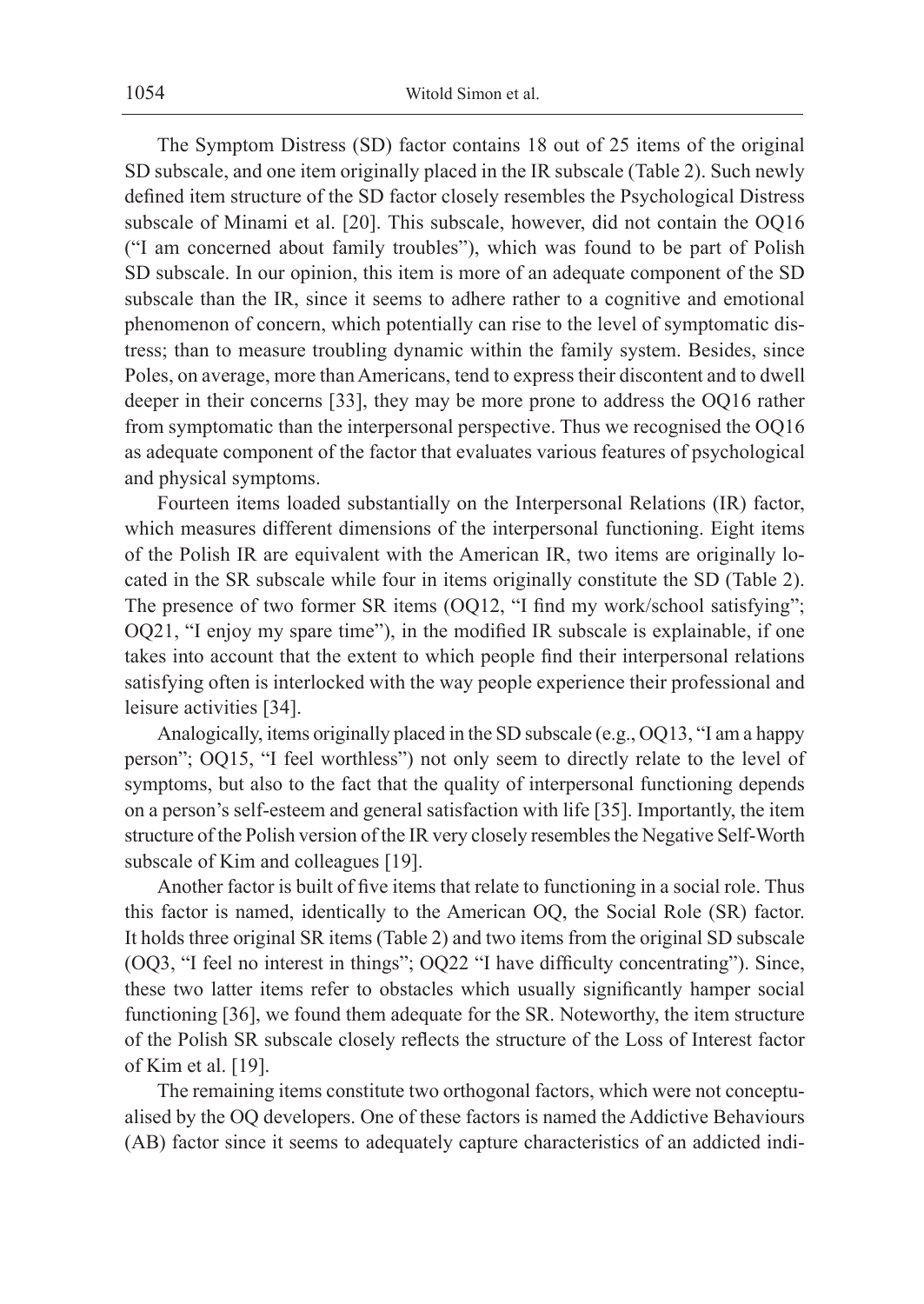The Symptom Distress (SD) factor contains 18 out of 25 items of the original SD subscale, and one item originally placed in the IR subscale (Table 2). Such newly defined item structure of the SD factor closely resembles the Psychological Distress subscale of Minami et al. [20]. This subscale, however, did not contain the OQ16 ("I am concerned about family troubles"), which was found to be part of Polish SD subscale. In our opinion, this item is more of an adequate component of the SD subscale than the IR, since it seems to adhere rather to a cognitive and emotional phenomenon of concern, which potentially can rise to the level of symptomatic distress; than to measure troubling dynamic within the family system. Besides, since Poles, on average, more than Americans, tend to express their discontent and to dwell deeper in their concerns [33], they may be more prone to address the OQ16 rather from symptomatic than the interpersonal perspective. Thus we recognised the OQ16 as adequate component of the factor that evaluates various features of psychological and physical symptoms.

Fourteen items loaded substantially on the Interpersonal Relations (IR) factor, which measures different dimensions of the interpersonal functioning. Eight items of the Polish IR are equivalent with the American IR, two items are originally located in the SR subscale while four in items originally constitute the SD (Table 2). The presence of two former SR items (OQ12, "I find my work/school satisfying"; OQ21, "I enjoy my spare time"), in the modified IR subscale is explainable, if one takes into account that the extent to which people find their interpersonal relations satisfying often is interlocked with the way people experience their professional and leisure activities [34].

Analogically, items originally placed in the SD subscale (e.g., OQ13, "I am a happy person"; OQ15, "I feel worthless") not only seem to directly relate to the level of symptoms, but also to the fact that the quality of interpersonal functioning depends on a person's self-esteem and general satisfaction with life [35]. Importantly, the item structure of the Polish version of the IR very closely resembles the Negative Self-Worth subscale of Kim and colleagues [19].

Another factor is built of five items that relate to functioning in a social role. Thus this factor is named, identically to the American OQ, the Social Role (SR) factor. It holds three original SR items (Table 2) and two items from the original SD subscale (OQ3, "I feel no interest in things"; OQ22 "I have difficulty concentrating"). Since, these two latter items refer to obstacles which usually significantly hamper social functioning [36], we found them adequate for the SR. Noteworthy, the item structure of the Polish SR subscale closely reflects the structure of the Loss of Interest factor of Kim et al. [19].

The remaining items constitute two orthogonal factors, which were not conceptualised by the OQ developers. One of these factors is named the Addictive Behaviours (AB) factor since it seems to adequately capture characteristics of an addicted indi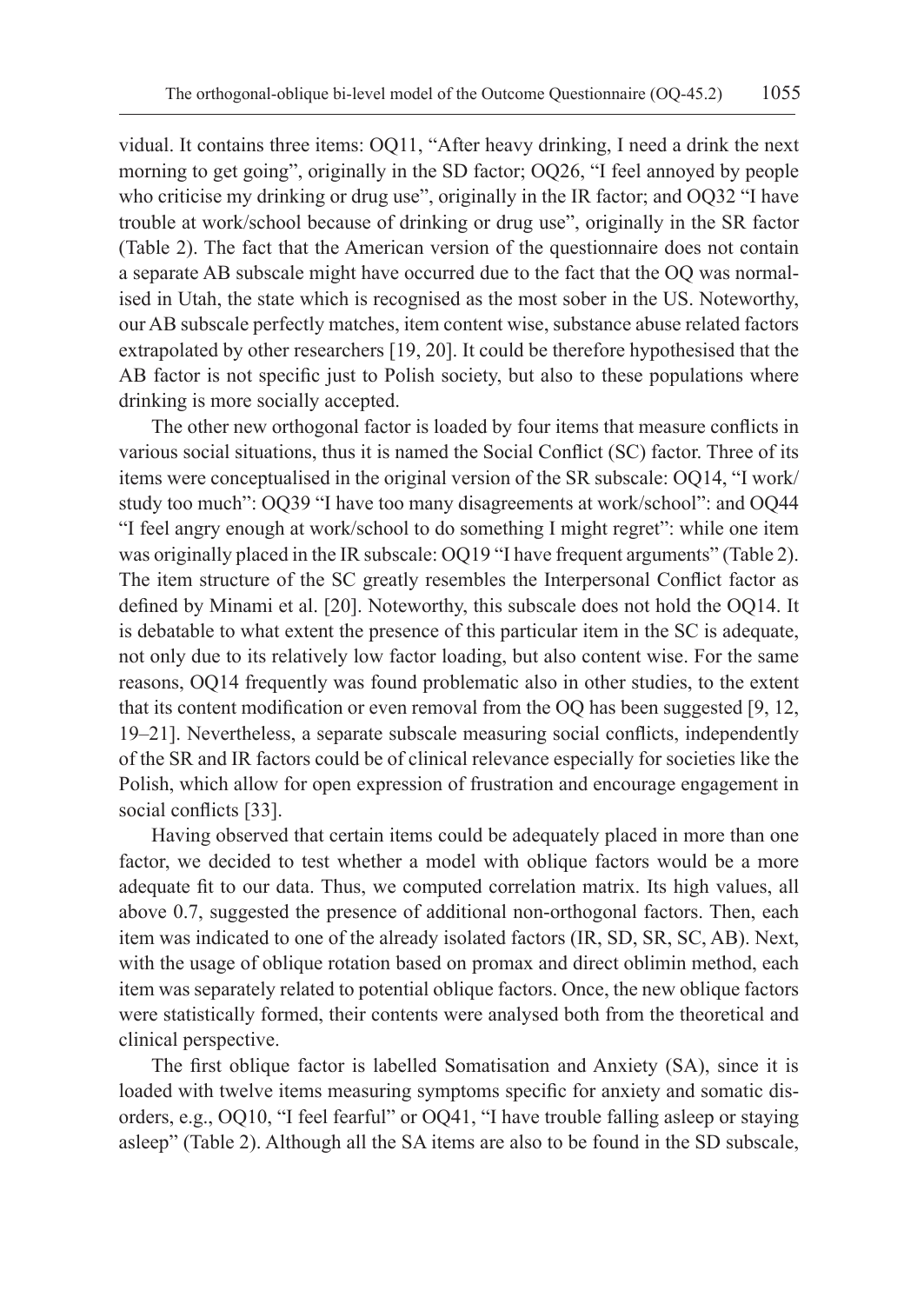vidual. It contains three items: OQ11, "After heavy drinking, I need a drink the next morning to get going", originally in the SD factor; OQ26, "I feel annoyed by people who criticise my drinking or drug use", originally in the IR factor; and OQ32 "I have trouble at work/school because of drinking or drug use", originally in the SR factor (Table 2). The fact that the American version of the questionnaire does not contain a separate AB subscale might have occurred due to the fact that the OQ was normalised in Utah, the state which is recognised as the most sober in the US. Noteworthy, our AB subscale perfectly matches, item content wise, substance abuse related factors extrapolated by other researchers [19, 20]. It could be therefore hypothesised that the AB factor is not specific just to Polish society, but also to these populations where drinking is more socially accepted.

The other new orthogonal factor is loaded by four items that measure conflicts in various social situations, thus it is named the Social Conflict (SC) factor. Three of its items were conceptualised in the original version of the SR subscale: OQ14, "I work/ study too much": OQ39 "I have too many disagreements at work/school": and OQ44 "I feel angry enough at work/school to do something I might regret": while one item was originally placed in the IR subscale: OQ19 "I have frequent arguments" (Table 2). The item structure of the SC greatly resembles the Interpersonal Conflict factor as defined by Minami et al. [20]. Noteworthy, this subscale does not hold the OQ14. It is debatable to what extent the presence of this particular item in the SC is adequate, not only due to its relatively low factor loading, but also content wise. For the same reasons, OQ14 frequently was found problematic also in other studies, to the extent that its content modification or even removal from the OQ has been suggested [9, 12, 19–21]. Nevertheless, a separate subscale measuring social conflicts, independently of the SR and IR factors could be of clinical relevance especially for societies like the Polish, which allow for open expression of frustration and encourage engagement in social conflicts [33].

Having observed that certain items could be adequately placed in more than one factor, we decided to test whether a model with oblique factors would be a more adequate fit to our data. Thus, we computed correlation matrix. Its high values, all above 0.7, suggested the presence of additional non-orthogonal factors. Then, each item was indicated to one of the already isolated factors (IR, SD, SR, SC, AB). Next, with the usage of oblique rotation based on promax and direct oblimin method, each item was separately related to potential oblique factors. Once, the new oblique factors were statistically formed, their contents were analysed both from the theoretical and clinical perspective.

The first oblique factor is labelled Somatisation and Anxiety (SA), since it is loaded with twelve items measuring symptoms specific for anxiety and somatic disorders, e.g., OQ10, "I feel fearful" or OQ41, "I have trouble falling asleep or staying asleep" (Table 2). Although all the SA items are also to be found in the SD subscale,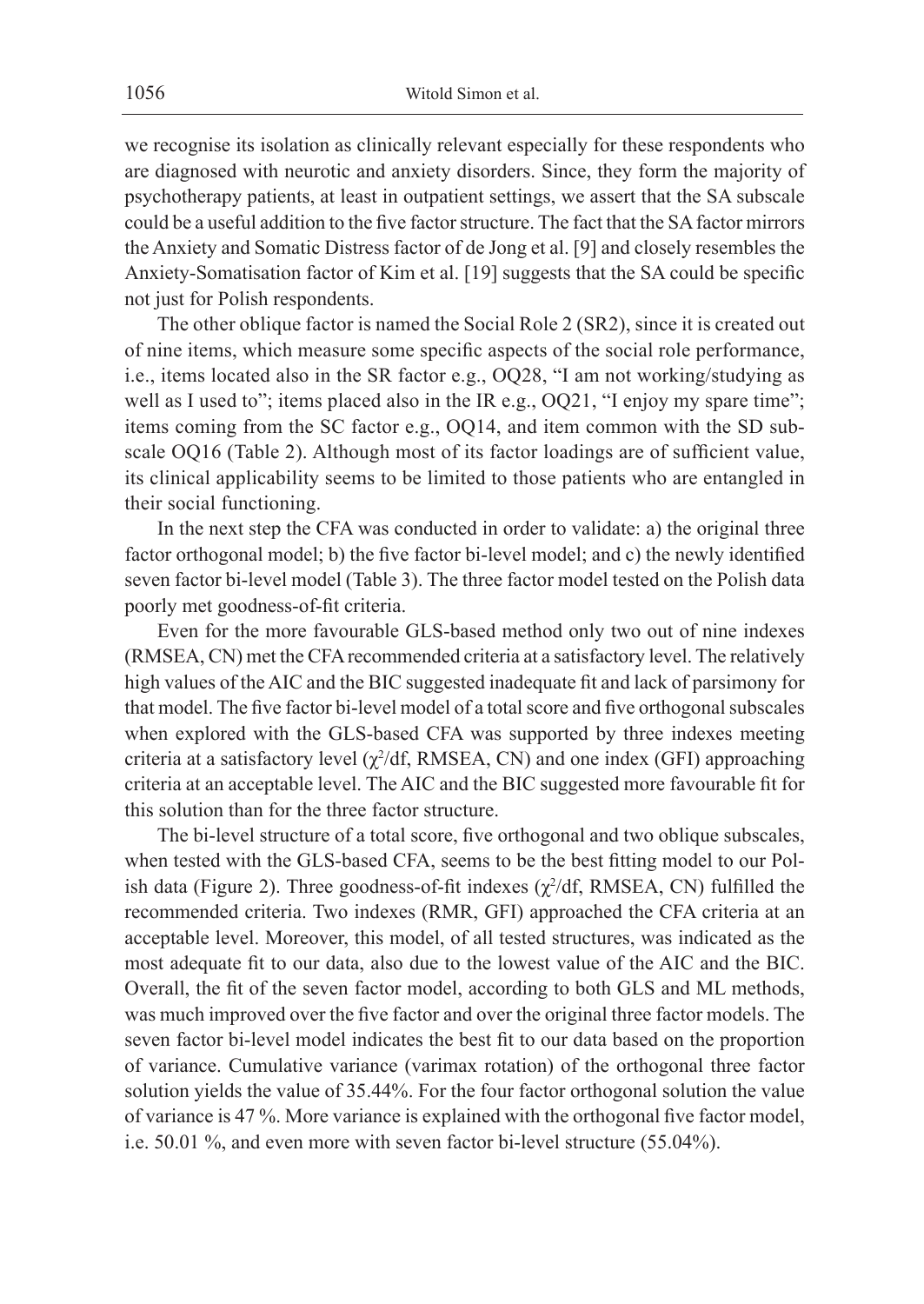we recognise its isolation as clinically relevant especially for these respondents who are diagnosed with neurotic and anxiety disorders. Since, they form the majority of psychotherapy patients, at least in outpatient settings, we assert that the SA subscale could be a useful addition to the five factor structure. The fact that the SA factor mirrors the Anxiety and Somatic Distress factor of de Jong et al. [9] and closely resembles the Anxiety-Somatisation factor of Kim et al. [19] suggests that the SA could be specific not just for Polish respondents.

The other oblique factor is named the Social Role 2 (SR2), since it is created out of nine items, which measure some specific aspects of the social role performance, i.e., items located also in the SR factor e.g., OQ28, "I am not working/studying as well as I used to"; items placed also in the IR e.g., OQ21, "I enjoy my spare time"; items coming from the SC factor e.g., OQ14, and item common with the SD subscale OQ16 (Table 2). Although most of its factor loadings are of sufficient value, its clinical applicability seems to be limited to those patients who are entangled in their social functioning.

In the next step the CFA was conducted in order to validate: a) the original three factor orthogonal model; b) the five factor bi-level model; and c) the newly identified seven factor bi-level model (Table 3). The three factor model tested on the Polish data poorly met goodness-of-fit criteria.

Even for the more favourable GLS-based method only two out of nine indexes (RMSEA, CN) met the CFA recommended criteria at a satisfactory level. The relatively high values of the AIC and the BIC suggested inadequate fit and lack of parsimony for that model. The five factor bi-level model of a total score and five orthogonal subscales when explored with the GLS-based CFA was supported by three indexes meeting criteria at a satisfactory level  $(\chi^2/df, RMSEA, CN)$  and one index (GFI) approaching criteria at an acceptable level. The AIC and the BIC suggested more favourable fit for this solution than for the three factor structure.

The bi-level structure of a total score, five orthogonal and two oblique subscales, when tested with the GLS-based CFA, seems to be the best fitting model to our Polish data (Figure 2). Three goodness-of-fit indexes  $(\chi^2/df, RMSEA, CN)$  fulfilled the recommended criteria. Two indexes (RMR, GFI) approached the CFA criteria at an acceptable level. Moreover, this model, of all tested structures, was indicated as the most adequate fit to our data, also due to the lowest value of the AIC and the BIC. Overall, the fit of the seven factor model, according to both GLS and ML methods, was much improved over the five factor and over the original three factor models. The seven factor bi-level model indicates the best fit to our data based on the proportion of variance. Cumulative variance (varimax rotation) of the orthogonal three factor solution yields the value of 35.44%. For the four factor orthogonal solution the value of variance is 47 %. More variance is explained with the orthogonal five factor model, i.e. 50.01 %, and even more with seven factor bi-level structure (55.04%).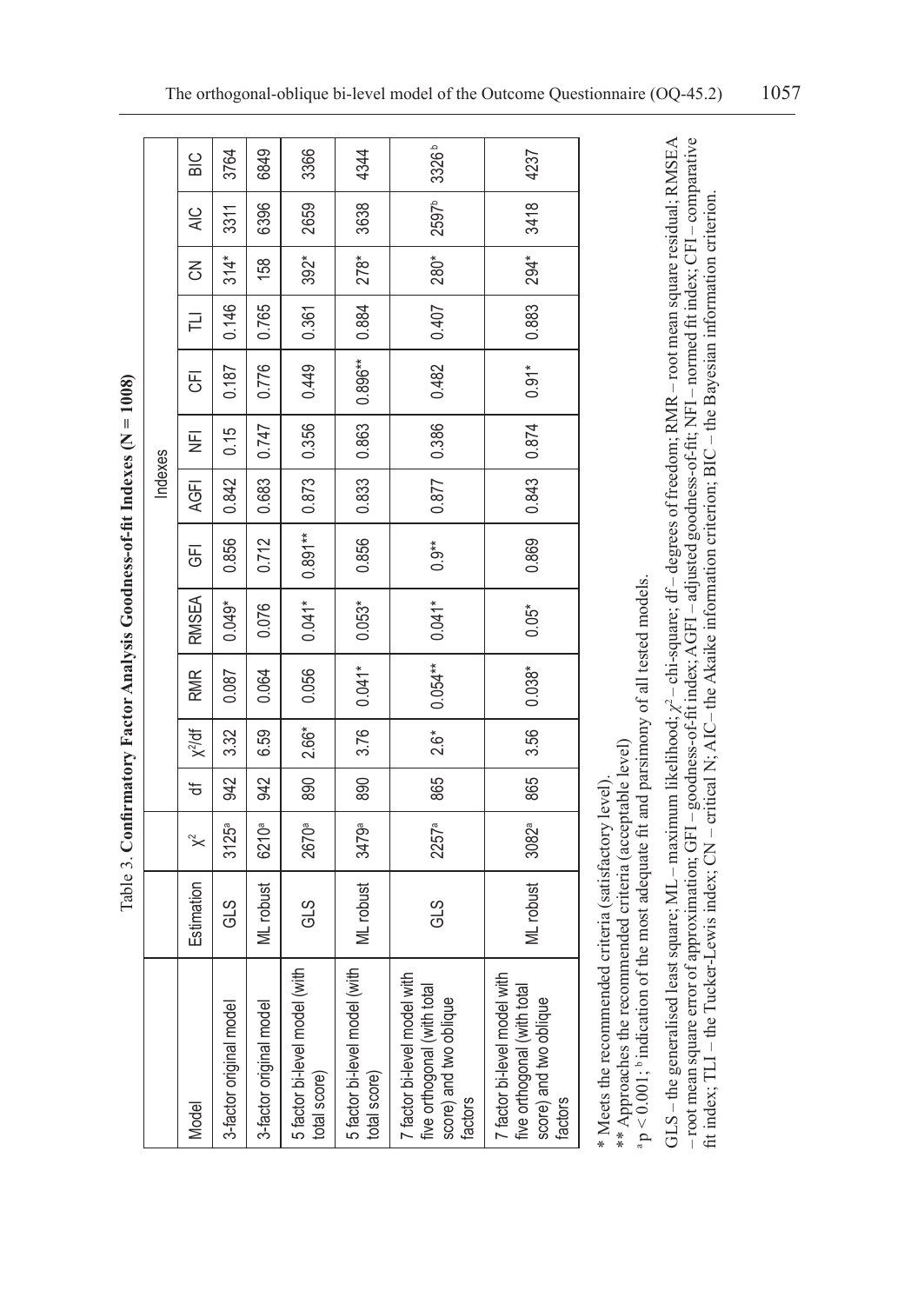Table 3. Confirmatory Factor Analysis Goodness-of-fit Indexes  $(N = 1008)$ Table 3. **Confirmatory Factor Analysis Goodness-of-fit Indexes (N = 1008)**

|         | BIC           | 3764                    | 6849                    | 3366                                               | 4344                                          | 3326 <sup>b</sup>                                                                                | 4237                                                                                             |
|---------|---------------|-------------------------|-------------------------|----------------------------------------------------|-----------------------------------------------|--------------------------------------------------------------------------------------------------|--------------------------------------------------------------------------------------------------|
|         | $\frac{C}{4}$ | 3311                    | 6396                    | 2659                                               | 3638                                          | 2597 <sup>b</sup>                                                                                | 3418                                                                                             |
|         | Z             | $314*$                  | 158                     | $392*$                                             | 278*                                          | 280*                                                                                             | 294*                                                                                             |
|         | 긑             | 0.146                   | 0.765                   | 0.361                                              | 0.884                                         | 0.407                                                                                            | 0.883                                                                                            |
|         | 丐             | 0.187                   | 0.776                   | 0.449                                              | 0.896**                                       | 0.482                                                                                            | $0.91*$                                                                                          |
|         | ¥             | 0.15                    | 0.747                   | 0.356                                              | 0.863                                         | 0.386                                                                                            | 0.874                                                                                            |
| Indexes | <b>AGFI</b>   | 0.842                   | 0.683                   | 0.873                                              | $-0.833$                                      | 0.877                                                                                            | 0.843                                                                                            |
|         | <br>5         | 0.856                   | 0.712                   | $0.891***$                                         | 0.856                                         | $0.9**$                                                                                          | 0.869                                                                                            |
|         | <b>RMSEA</b>  | $0.049*$                | 0.076                   | $0.041*$                                           | $0.053*$                                      | $0.041*$                                                                                         | $0.05*$                                                                                          |
|         | <b>RMR</b>    | 0.087                   | 0.064                   | 0.056                                              | $0.041*$                                      | $0.054**$                                                                                        | $0.038*$                                                                                         |
|         | $X^2$ /df     | 3.32                    | 6.59                    | 2.66*                                              | 3.76                                          | $2.6*$                                                                                           | 3.56                                                                                             |
|         | ₩             | 942                     | 942                     | 890                                                | 890                                           | 865                                                                                              | 865                                                                                              |
|         | "≺            | 3125a                   | 6210ª                   | 2670ª                                              | 3479ª                                         | 2257ª                                                                                            | 3082ª                                                                                            |
|         | Estimation    | GLS                     | ML robust               | GLS                                                | ML robust                                     | GLS                                                                                              | ML robust                                                                                        |
|         | Model         | 3-factor original model | 3-factor original model | with<br>5 factor bi-level model (\<br>total score) | 5 factor bi-level model (with<br>total score) | 7 factor bi-level model with<br>five orthogonal (with total<br>score) and two oblique<br>factors | 7 factor bi-level model with<br>five orthogonal (with total<br>score) and two oblique<br>factors |

\* Meets the recommended criteria (satisfactory level). \* Meets the recommended criteria (satisfactory level).

\*\* Approaches the recommended criteria (acceptable level) \*\* Approaches the recommended criteria (acceptable level)

 $a$  p < 0.001;  $b$  indication of the most adequate fit and parsimony of all tested models.  $a$  p < 0.001;  $b$  indication of the most adequate fit and parsimony of all tested models.

GLS – the generalised least square; ML – maximum likelihood; *χ*<sup>2</sup> – chi-square; df – degrees of freedom; RMR – root mean square residual; RMSEA - root mean square error of approximation; GF1 - goodness-of-fit index; AGF1 - adjusted goodness-of-fit; NFI - normed fit index; CF1 - comparative – root mean square error of approximation; GFI – goodness-of-fit index; AGFI – adjusted goodness-of-fit; NFI – normed fit index; CFI – comparative GLS-the generalised least square; ML - maximum likelihood;  $\chi^2$  - chi-square; df - degrees of freedom; RMR - root mean square residual; RMSEA fit index: TLI – the Tucker-Lewis index: CN – critical N: AIC– the Akaike information criterion: BIC – the Bayesian information criterion. fit index; TLI – the Tucker-Lewis index; CN – critical N; AIC– the Akaike information criterion; BIC – the Bayesian information criterion.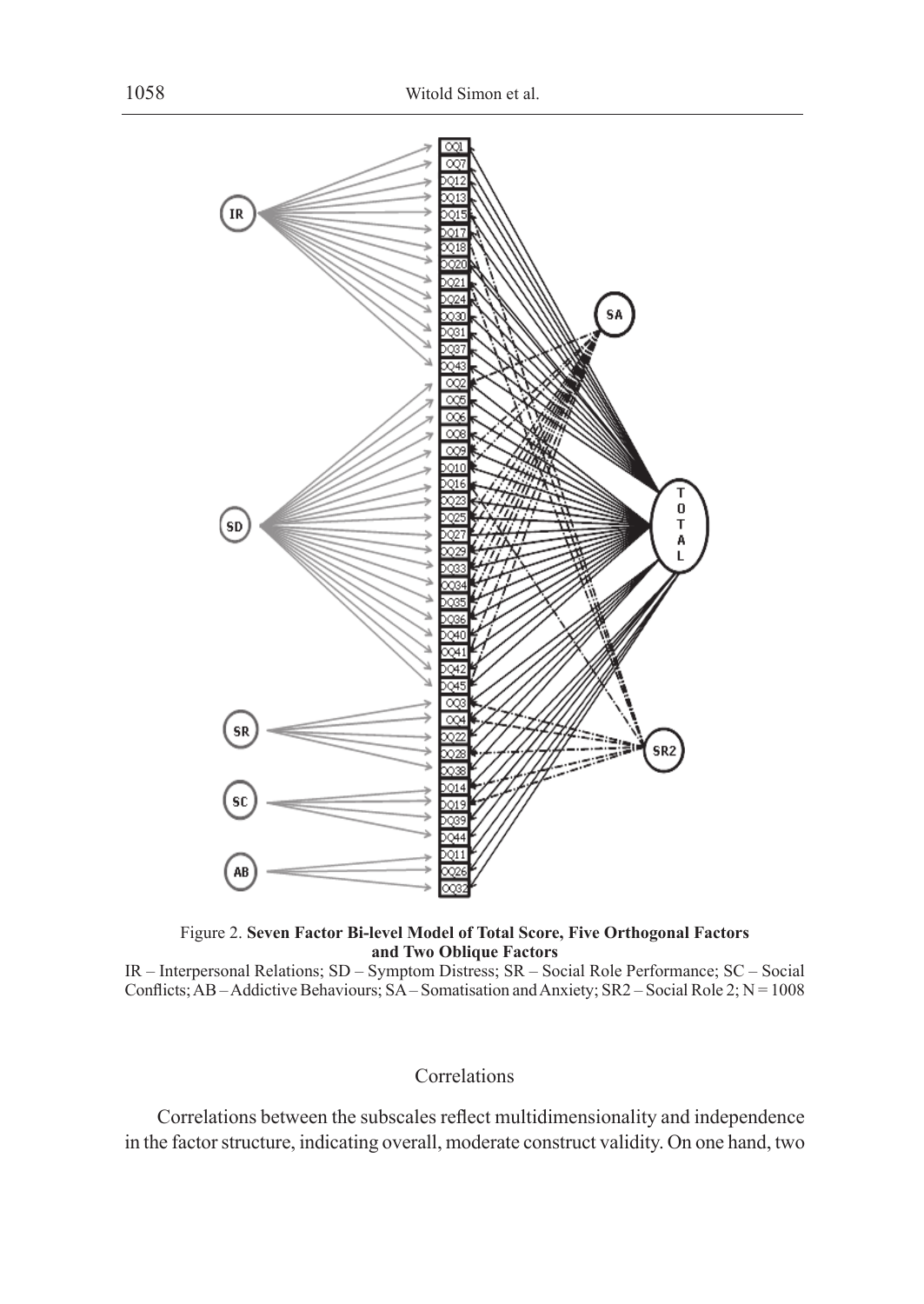

Figure 2. **Seven Factor Bi-level Model of Total Score, Five Orthogonal Factors and Two Oblique Factors**

IR – Interpersonal Relations; SD – Symptom Distress; SR – Social Role Performance; SC – Social Conflicts; AB – Addictive Behaviours; SA – Somatisation and Anxiety; SR2 – Social Role 2; N = 1008

### Correlations

Correlations between the subscales reflect multidimensionality and independence in the factor structure, indicating overall, moderate construct validity. On one hand, two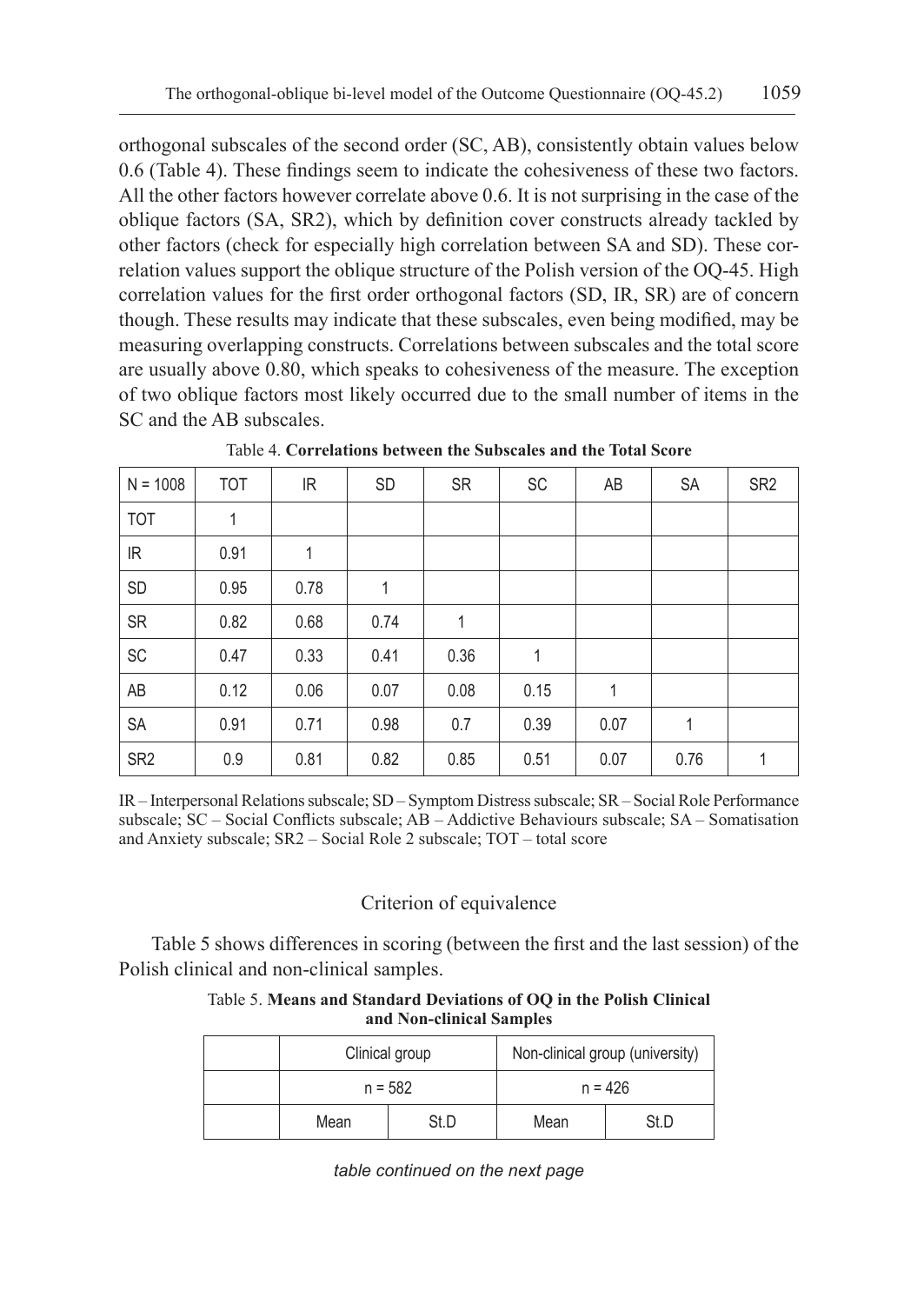orthogonal subscales of the second order (SC, AB), consistently obtain values below 0.6 (Table 4). These findings seem to indicate the cohesiveness of these two factors. All the other factors however correlate above 0.6. It is not surprising in the case of the oblique factors (SA, SR2), which by definition cover constructs already tackled by other factors (check for especially high correlation between SA and SD). These correlation values support the oblique structure of the Polish version of the OQ-45. High correlation values for the first order orthogonal factors (SD, IR, SR) are of concern though. These results may indicate that these subscales, even being modified, may be measuring overlapping constructs. Correlations between subscales and the total score are usually above 0.80, which speaks to cohesiveness of the measure. The exception of two oblique factors most likely occurred due to the small number of items in the SC and the AB subscales.

| $N = 1008$      | <b>TOT</b> | IR   | <b>SD</b> | <b>SR</b> | SC           | AB           | <b>SA</b>    | SR <sub>2</sub> |
|-----------------|------------|------|-----------|-----------|--------------|--------------|--------------|-----------------|
| <b>TOT</b>      | 1          |      |           |           |              |              |              |                 |
| IR.             | 0.91       | 1    |           |           |              |              |              |                 |
| SD              | 0.95       | 0.78 | 1         |           |              |              |              |                 |
| <b>SR</b>       | 0.82       | 0.68 | 0.74      | 1         |              |              |              |                 |
| SC              | 0.47       | 0.33 | 0.41      | 0.36      | $\mathbf{1}$ |              |              |                 |
| AB              | 0.12       | 0.06 | 0.07      | 0.08      | 0.15         | $\mathbf{1}$ |              |                 |
| SA              | 0.91       | 0.71 | 0.98      | 0.7       | 0.39         | 0.07         | $\mathbf{1}$ |                 |
| SR <sub>2</sub> | 0.9        | 0.81 | 0.82      | 0.85      | 0.51         | 0.07         | 0.76         | 1               |

Table 4. **Correlations between the Subscales and the Total Score**

IR – Interpersonal Relations subscale; SD – Symptom Distress subscale; SR – Social Role Performance subscale; SC – Social Conflicts subscale; AB – Addictive Behaviours subscale; SA – Somatisation and Anxiety subscale; SR2 – Social Role 2 subscale; TOT – total score

## Criterion of equivalence

Table 5 shows differences in scoring (between the first and the last session) of the Polish clinical and non-clinical samples.

### Table 5. **Means and Standard Deviations of OQ in the Polish Clinical and Non-clinical Samples**

|              | Clinical group | Non-clinical group (university) |      |  |
|--------------|----------------|---------------------------------|------|--|
|              | $n = 582$      | $n = 426$                       |      |  |
| St.D<br>Mean |                | Mean                            | St D |  |

*table continued on the next page*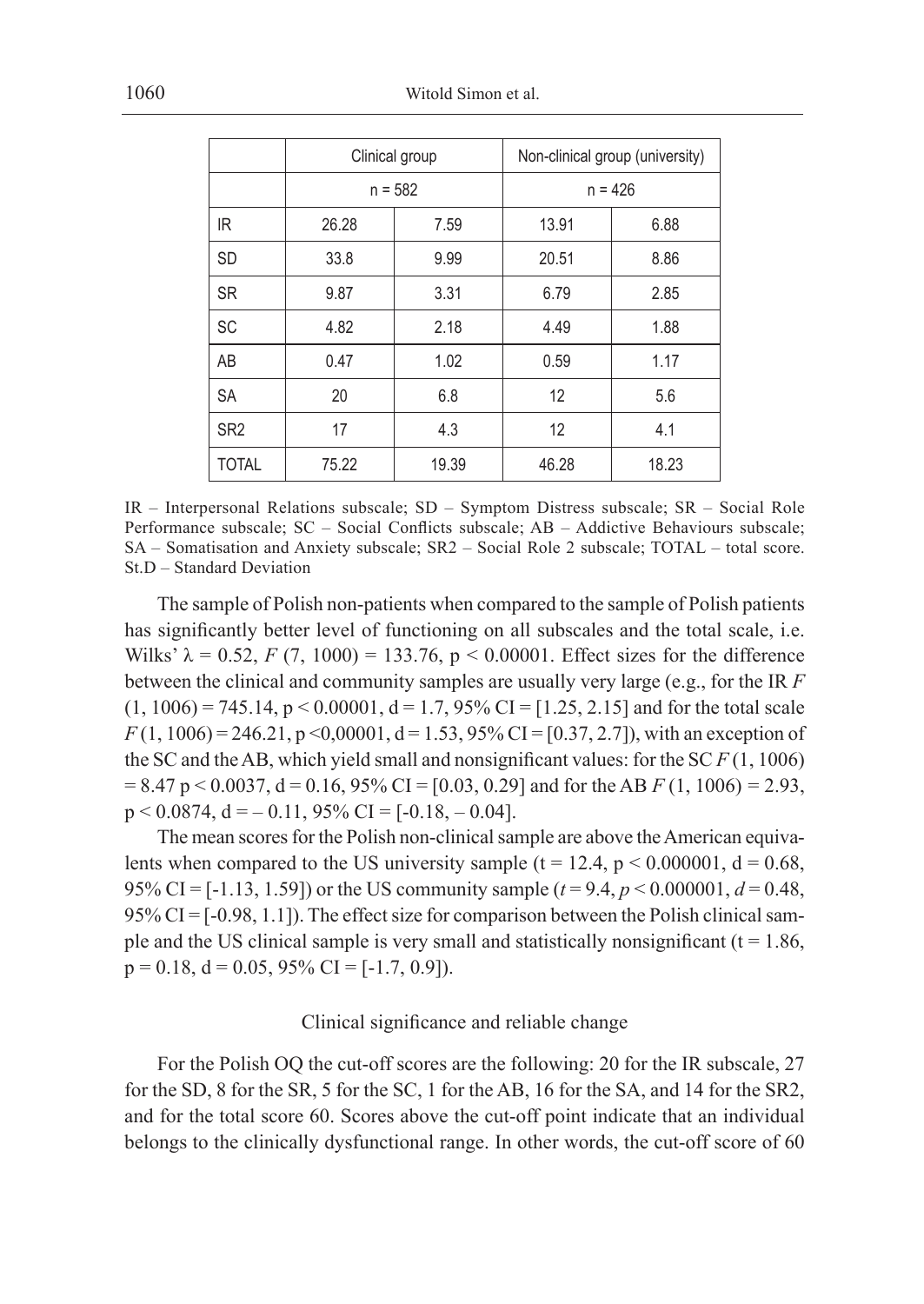|                 |       | Clinical group | Non-clinical group (university) |       |  |
|-----------------|-------|----------------|---------------------------------|-------|--|
|                 |       | $n = 582$      | $n = 426$                       |       |  |
| IR.             | 26.28 | 7.59           | 13.91                           | 6.88  |  |
| <b>SD</b>       | 33.8  | 9.99           | 20.51                           | 8.86  |  |
| <b>SR</b>       | 9.87  | 3.31           | 6.79                            | 2.85  |  |
| <b>SC</b>       | 4.82  | 2.18           | 4.49                            | 1.88  |  |
| AB              | 0.47  | 1.02           | 0.59                            | 1.17  |  |
| <b>SA</b>       | 20    | 6.8            | 12                              | 5.6   |  |
| SR <sub>2</sub> | 17    | 4.3            | 12                              | 4.1   |  |
| <b>TOTAL</b>    | 75.22 | 19.39          | 46.28                           | 18.23 |  |

IR – Interpersonal Relations subscale; SD – Symptom Distress subscale; SR – Social Role Performance subscale; SC – Social Conflicts subscale; AB – Addictive Behaviours subscale; SA – Somatisation and Anxiety subscale; SR2 – Social Role 2 subscale; TOTAL – total score. St.D – Standard Deviation

The sample of Polish non-patients when compared to the sample of Polish patients has significantly better level of functioning on all subscales and the total scale, i.e. Wilks'  $\lambda = 0.52$ , *F* (7, 1000) = 133.76, p < 0.00001. Effect sizes for the difference between the clinical and community samples are usually very large (e.g., for the IR *F*  $(1, 1006) = 745.14$ ,  $p < 0.00001$ ,  $d = 1.7$ , 95% CI = [1.25, 2.15] and for the total scale  $F(1, 1006) = 246.21$ ,  $p \le 0.00001$ ,  $d = 1.53$ ,  $95\%$  CI = [0.37, 2.7]), with an exception of the SC and the AB, which yield small and nonsignificant values: for the SC *F* (1, 1006) = 8.47 p < 0.0037, d = 0.16, 95% CI = [0.03, 0.29] and for the AB *F* (1, 1006) *=* 2.93,  $p < 0.0874$ ,  $d = -0.11$ , 95% CI = [-0.18, -0.04].

The mean scores for the Polish non-clinical sample are above the American equivalents when compared to the US university sample ( $t = 12.4$ ,  $p < 0.000001$ ,  $d = 0.68$ , 95% CI = [-1.13, 1.59]) or the US community sample (*t* = 9.4, *p* < 0.000001, *d* = 0.48,  $95\%$  CI = [-0.98, 1.1]). The effect size for comparison between the Polish clinical sample and the US clinical sample is very small and statistically nonsignificant ( $t = 1.86$ ,  $p = 0.18$ ,  $d = 0.05$ , 95% CI = [-1.7, 0.9]).

### Clinical significance and reliable change

For the Polish OQ the cut-off scores are the following: 20 for the IR subscale, 27 for the SD, 8 for the SR, 5 for the SC, 1 for the AB, 16 for the SA, and 14 for the SR2, and for the total score 60. Scores above the cut-off point indicate that an individual belongs to the clinically dysfunctional range. In other words, the cut-off score of 60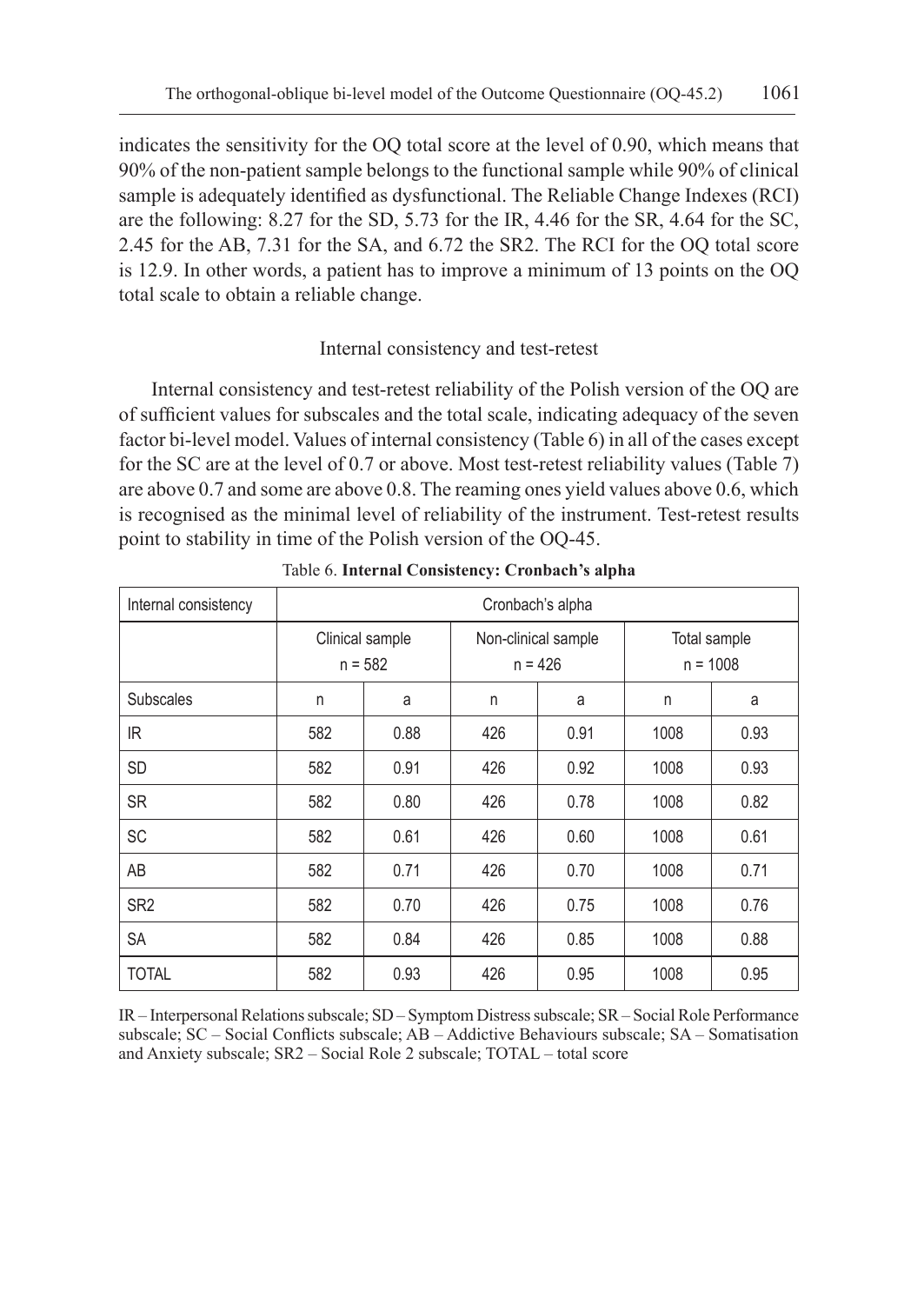indicates the sensitivity for the OQ total score at the level of 0.90, which means that 90% of the non-patient sample belongs to the functional sample while 90% of clinical sample is adequately identified as dysfunctional. The Reliable Change Indexes (RCI) are the following: 8.27 for the SD, 5.73 for the IR, 4.46 for the SR, 4.64 for the SC, 2.45 for the AB, 7.31 for the SA, and 6.72 the SR2. The RCI for the OQ total score is 12.9. In other words, a patient has to improve a minimum of 13 points on the OQ total scale to obtain a reliable change.

## Internal consistency and test-retest

Internal consistency and test-retest reliability of the Polish version of the OQ are of sufficient values for subscales and the total scale, indicating adequacy of the seven factor bi-level model. Values of internal consistency (Table 6) in all of the cases except for the SC are at the level of 0.7 or above. Most test-retest reliability values (Table 7) are above 0.7 and some are above 0.8. The reaming ones yield values above 0.6, which is recognised as the minimal level of reliability of the instrument. Test-retest results point to stability in time of the Polish version of the OQ-45.

| Internal consistency | Cronbach's alpha             |      |     |                                  |                            |      |  |  |  |
|----------------------|------------------------------|------|-----|----------------------------------|----------------------------|------|--|--|--|
|                      | Clinical sample<br>$n = 582$ |      |     | Non-clinical sample<br>$n = 426$ | Total sample<br>$n = 1008$ |      |  |  |  |
| <b>Subscales</b>     | n<br>a                       |      | n   | a                                | n                          | a    |  |  |  |
| IR.                  | 582                          | 0.88 | 426 | 0.91                             | 1008                       | 0.93 |  |  |  |
| <b>SD</b>            | 582                          | 0.91 | 426 | 0.92                             | 1008                       | 0.93 |  |  |  |
| <b>SR</b>            | 582                          | 0.80 | 426 | 0.78                             | 1008                       | 0.82 |  |  |  |
| SC                   | 582                          | 0.61 | 426 | 0.60                             | 1008                       | 0.61 |  |  |  |
| AB                   | 582                          | 0.71 | 426 | 0.70                             | 1008                       | 0.71 |  |  |  |
| SR <sub>2</sub>      | 582                          | 0.70 | 426 | 0.75                             | 1008                       | 0.76 |  |  |  |
| SA                   | 582                          | 0.84 | 426 | 0.85                             | 1008                       | 0.88 |  |  |  |
| <b>TOTAL</b>         | 582                          | 0.93 | 426 | 0.95                             | 1008                       | 0.95 |  |  |  |

Table 6. **Internal Consistency: Cronbach's alpha**

IR – Interpersonal Relations subscale; SD – Symptom Distress subscale; SR – Social Role Performance subscale; SC – Social Conflicts subscale; AB – Addictive Behaviours subscale; SA – Somatisation and Anxiety subscale; SR2 – Social Role 2 subscale; TOTAL – total score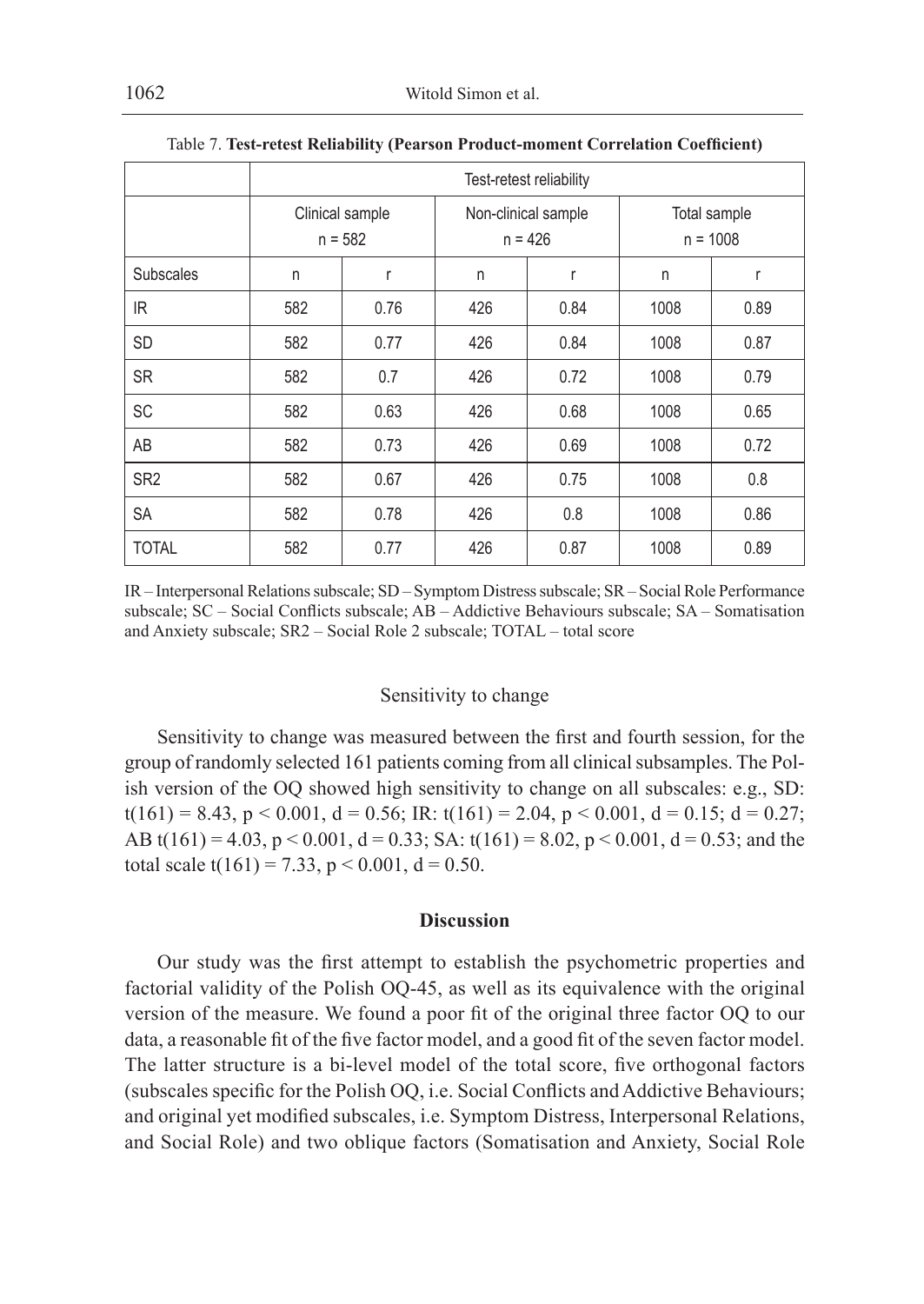|                  | Test-retest reliability      |      |     |                                  |                            |      |  |  |
|------------------|------------------------------|------|-----|----------------------------------|----------------------------|------|--|--|
|                  | Clinical sample<br>$n = 582$ |      |     | Non-clinical sample<br>$n = 426$ | Total sample<br>$n = 1008$ |      |  |  |
| <b>Subscales</b> | n                            | r    | n   | r                                | n                          | r    |  |  |
| IR.              | 582                          | 0.76 | 426 | 0.84                             | 1008                       | 0.89 |  |  |
| <b>SD</b>        | 582                          | 0.77 | 426 | 0.84                             | 1008                       | 0.87 |  |  |
| <b>SR</b>        | 582                          | 0.7  | 426 | 0.72                             | 1008                       | 0.79 |  |  |
| <b>SC</b>        | 582                          | 0.63 | 426 | 0.68                             | 1008                       | 0.65 |  |  |
| AB               | 582                          | 0.73 | 426 | 0.69                             | 1008                       | 0.72 |  |  |
| SR <sub>2</sub>  | 582                          | 0.67 | 426 | 0.75                             | 1008                       | 0.8  |  |  |
| <b>SA</b>        | 582                          | 0.78 | 426 | 0.8                              | 1008                       | 0.86 |  |  |
| <b>TOTAL</b>     | 582                          | 0.77 | 426 | 0.87                             | 1008                       | 0.89 |  |  |

Table 7. **Test-retest Reliability (Pearson Product-moment Correlation Coefficient)**

IR – Interpersonal Relations subscale; SD – Symptom Distress subscale; SR – Social Role Performance subscale; SC – Social Conflicts subscale; AB – Addictive Behaviours subscale; SA – Somatisation and Anxiety subscale; SR2 – Social Role 2 subscale; TOTAL – total score

#### Sensitivity to change

Sensitivity to change was measured between the first and fourth session, for the group of randomly selected 161 patients coming from all clinical subsamples. The Polish version of the OQ showed high sensitivity to change on all subscales: e.g., SD:  $t(161) = 8.43$ ,  $p < 0.001$ ,  $d = 0.56$ ; IR:  $t(161) = 2.04$ ,  $p < 0.001$ ,  $d = 0.15$ ;  $d = 0.27$ ; AB t(161) = 4.03, p < 0.001, d = 0.33; SA: t(161) = 8.02, p < 0.001, d = 0.53; and the total scale t(161) = 7.33, p < 0.001, d = 0.50.

### **Discussion**

Our study was the first attempt to establish the psychometric properties and factorial validity of the Polish OQ-45, as well as its equivalence with the original version of the measure. We found a poor fit of the original three factor OQ to our data, a reasonable fit of the five factor model, and a good fit of the seven factor model. The latter structure is a bi-level model of the total score, five orthogonal factors (subscales specific for the Polish OQ, i.e. Social Conflicts and Addictive Behaviours; and original yet modified subscales, i.e. Symptom Distress, Interpersonal Relations, and Social Role) and two oblique factors (Somatisation and Anxiety, Social Role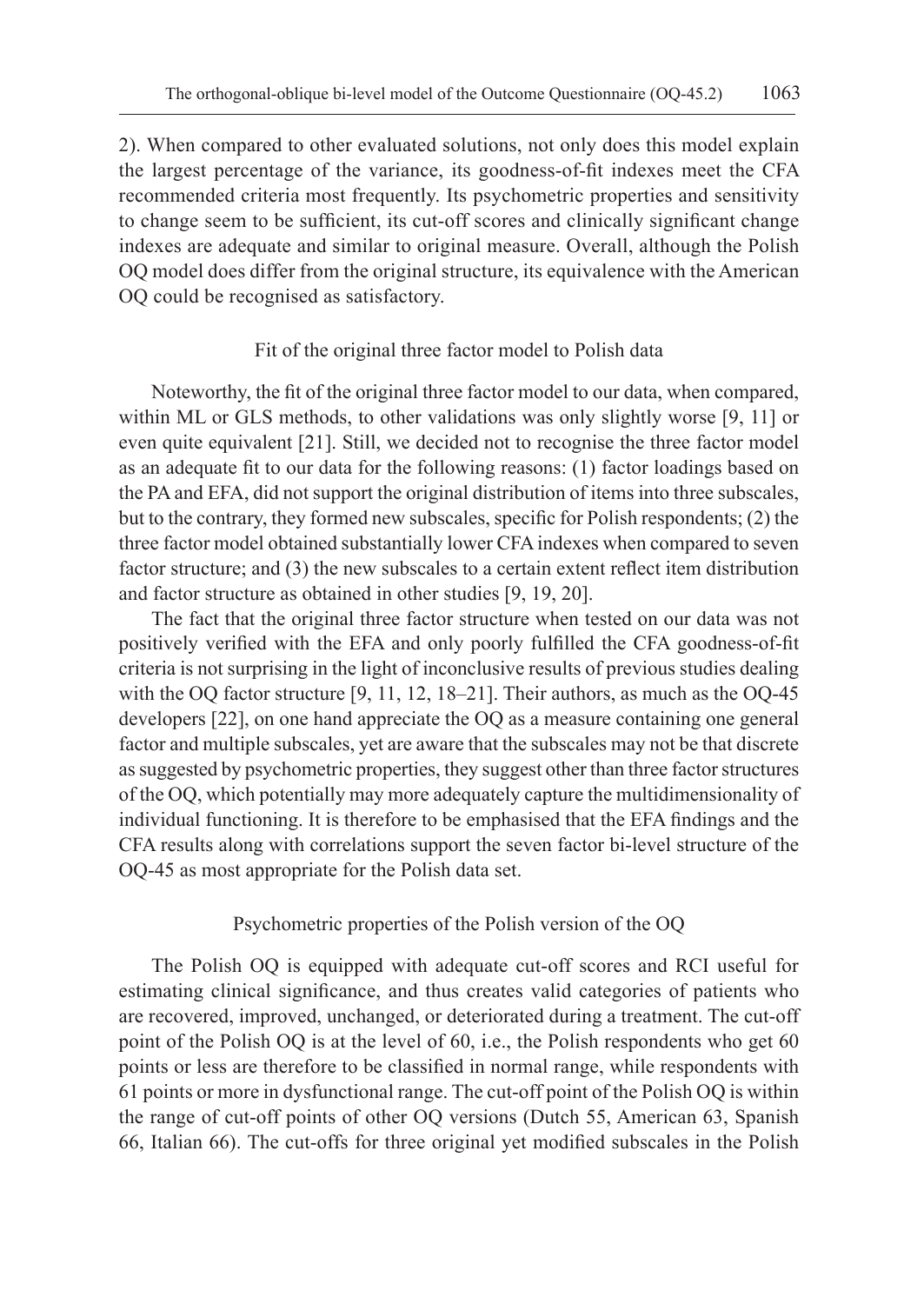2). When compared to other evaluated solutions, not only does this model explain the largest percentage of the variance, its goodness-of-fit indexes meet the CFA recommended criteria most frequently. Its psychometric properties and sensitivity to change seem to be sufficient, its cut-off scores and clinically significant change indexes are adequate and similar to original measure. Overall, although the Polish OQ model does differ from the original structure, its equivalence with the American OQ could be recognised as satisfactory.

### Fit of the original three factor model to Polish data

Noteworthy, the fit of the original three factor model to our data, when compared, within ML or GLS methods, to other validations was only slightly worse [9, 11] or even quite equivalent [21]. Still, we decided not to recognise the three factor model as an adequate fit to our data for the following reasons: (1) factor loadings based on the PA and EFA, did not support the original distribution of items into three subscales, but to the contrary, they formed new subscales, specific for Polish respondents; (2) the three factor model obtained substantially lower CFA indexes when compared to seven factor structure; and (3) the new subscales to a certain extent reflect item distribution and factor structure as obtained in other studies [9, 19, 20].

The fact that the original three factor structure when tested on our data was not positively verified with the EFA and only poorly fulfilled the CFA goodness-of-fit criteria is not surprising in the light of inconclusive results of previous studies dealing with the OQ factor structure [9, 11, 12, 18–21]. Their authors, as much as the OQ-45 developers [22], on one hand appreciate the OQ as a measure containing one general factor and multiple subscales, yet are aware that the subscales may not be that discrete as suggested by psychometric properties, they suggest other than three factor structures of the OQ, which potentially may more adequately capture the multidimensionality of individual functioning. It is therefore to be emphasised that the EFA findings and the CFA results along with correlations support the seven factor bi-level structure of the OQ-45 as most appropriate for the Polish data set.

### Psychometric properties of the Polish version of the OQ

The Polish OQ is equipped with adequate cut-off scores and RCI useful for estimating clinical significance, and thus creates valid categories of patients who are recovered, improved, unchanged, or deteriorated during a treatment. The cut-off point of the Polish OQ is at the level of 60, i.e., the Polish respondents who get 60 points or less are therefore to be classified in normal range, while respondents with 61 points or more in dysfunctional range. The cut-off point of the Polish OQ is within the range of cut-off points of other OQ versions (Dutch 55, American 63, Spanish 66, Italian 66). The cut-offs for three original yet modified subscales in the Polish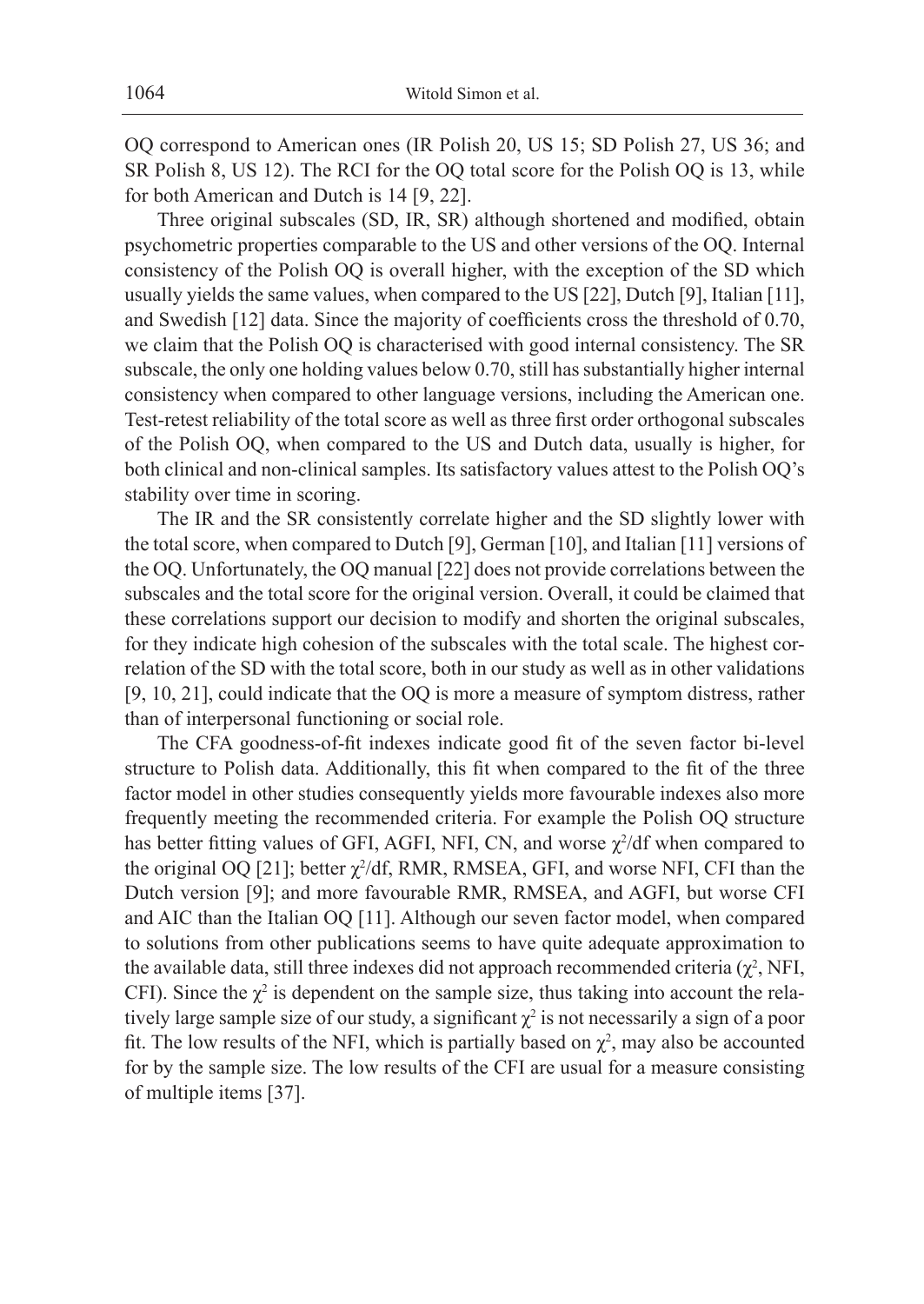OQ correspond to American ones (IR Polish 20, US 15; SD Polish 27, US 36; and SR Polish 8, US 12). The RCI for the OQ total score for the Polish OQ is 13, while for both American and Dutch is 14 [9, 22].

Three original subscales (SD, IR, SR) although shortened and modified, obtain psychometric properties comparable to the US and other versions of the OQ. Internal consistency of the Polish OQ is overall higher, with the exception of the SD which usually yields the same values, when compared to the US [22], Dutch [9], Italian [11], and Swedish [12] data. Since the majority of coefficients cross the threshold of 0.70, we claim that the Polish OQ is characterised with good internal consistency. The SR subscale, the only one holding values below 0.70, still has substantially higher internal consistency when compared to other language versions, including the American one. Test-retest reliability of the total score as well as three first order orthogonal subscales of the Polish OQ, when compared to the US and Dutch data, usually is higher, for both clinical and non-clinical samples. Its satisfactory values attest to the Polish OQ's stability over time in scoring.

The IR and the SR consistently correlate higher and the SD slightly lower with the total score, when compared to Dutch [9], German [10], and Italian [11] versions of the OQ. Unfortunately, the OQ manual [22] does not provide correlations between the subscales and the total score for the original version. Overall, it could be claimed that these correlations support our decision to modify and shorten the original subscales, for they indicate high cohesion of the subscales with the total scale. The highest correlation of the SD with the total score, both in our study as well as in other validations [9, 10, 21], could indicate that the OQ is more a measure of symptom distress, rather than of interpersonal functioning or social role.

The CFA goodness-of-fit indexes indicate good fit of the seven factor bi-level structure to Polish data. Additionally, this fit when compared to the fit of the three factor model in other studies consequently yields more favourable indexes also more frequently meeting the recommended criteria. For example the Polish OQ structure has better fitting values of GFI, AGFI, NFI, CN, and worse  $\chi^2/df$  when compared to the original OQ [21]; better  $\chi^2/df$ , RMR, RMSEA, GFI, and worse NFI, CFI than the Dutch version [9]; and more favourable RMR, RMSEA, and AGFI, but worse CFI and AIC than the Italian OQ [11]. Although our seven factor model, when compared to solutions from other publications seems to have quite adequate approximation to the available data, still three indexes did not approach recommended criteria  $(\chi^2$ , NFI, CFI). Since the  $\chi^2$  is dependent on the sample size, thus taking into account the relatively large sample size of our study, a significant  $\chi^2$  is not necessarily a sign of a poor fit. The low results of the NFI, which is partially based on  $\chi^2$ , may also be accounted for by the sample size. The low results of the CFI are usual for a measure consisting of multiple items [37].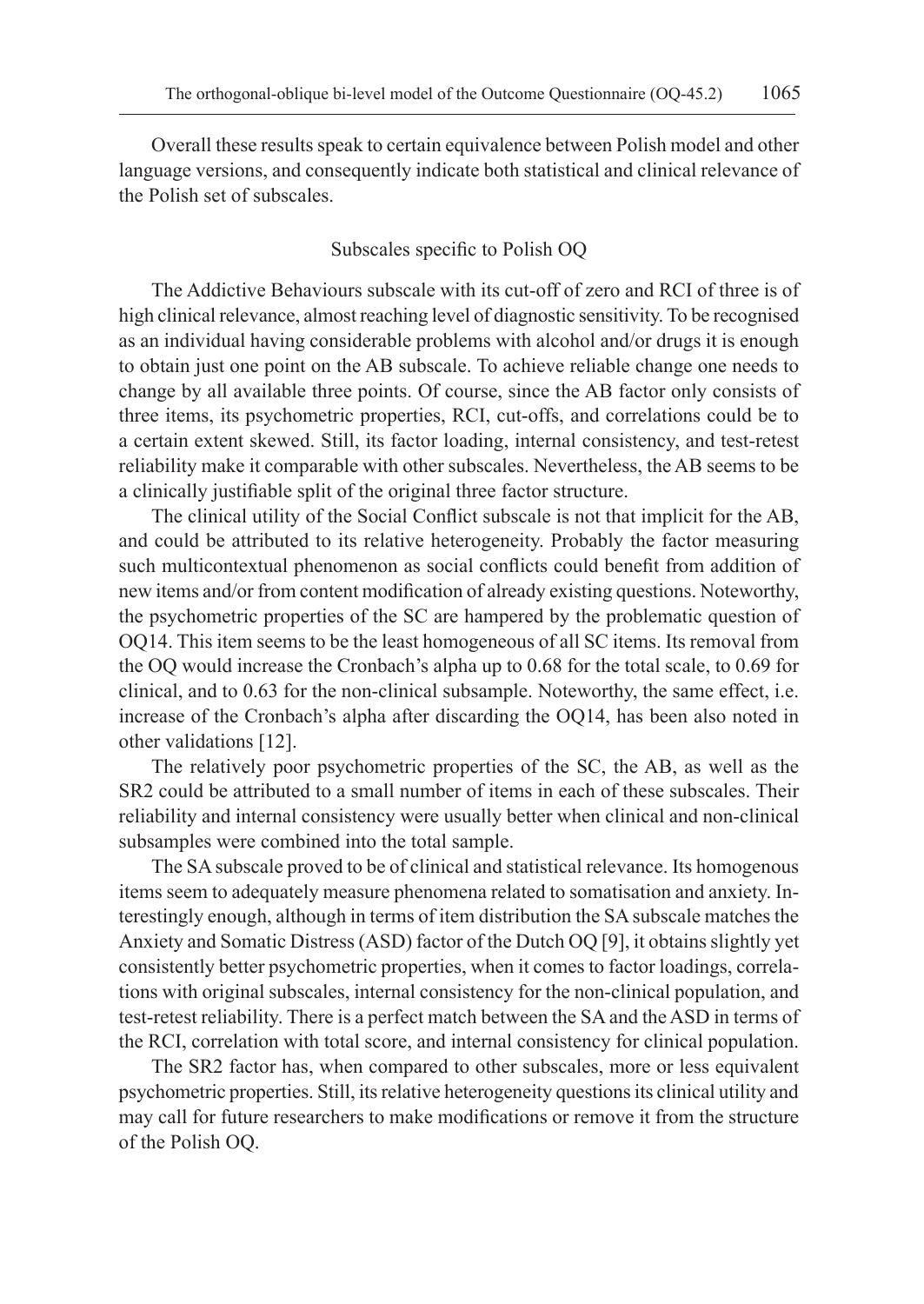Overall these results speak to certain equivalence between Polish model and other language versions, and consequently indicate both statistical and clinical relevance of the Polish set of subscales.

## Subscales specific to Polish OQ

The Addictive Behaviours subscale with its cut-off of zero and RCI of three is of high clinical relevance, almost reaching level of diagnostic sensitivity. To be recognised as an individual having considerable problems with alcohol and/or drugs it is enough to obtain just one point on the AB subscale. To achieve reliable change one needs to change by all available three points. Of course, since the AB factor only consists of three items, its psychometric properties, RCI, cut-offs, and correlations could be to a certain extent skewed. Still, its factor loading, internal consistency, and test-retest reliability make it comparable with other subscales. Nevertheless, the AB seems to be a clinically justifiable split of the original three factor structure.

The clinical utility of the Social Conflict subscale is not that implicit for the AB, and could be attributed to its relative heterogeneity. Probably the factor measuring such multicontextual phenomenon as social conflicts could benefit from addition of new items and/or from content modification of already existing questions. Noteworthy, the psychometric properties of the SC are hampered by the problematic question of OQ14. This item seems to be the least homogeneous of all SC items. Its removal from the OQ would increase the Cronbach's alpha up to 0.68 for the total scale, to 0.69 for clinical, and to 0.63 for the non-clinical subsample. Noteworthy, the same effect, i.e. increase of the Cronbach's alpha after discarding the OQ14, has been also noted in other validations [12].

The relatively poor psychometric properties of the SC, the AB, as well as the SR2 could be attributed to a small number of items in each of these subscales. Their reliability and internal consistency were usually better when clinical and non-clinical subsamples were combined into the total sample.

The SA subscale proved to be of clinical and statistical relevance. Its homogenous items seem to adequately measure phenomena related to somatisation and anxiety. Interestingly enough, although in terms of item distribution the SA subscale matches the Anxiety and Somatic Distress (ASD) factor of the Dutch OQ [9], it obtains slightly yet consistently better psychometric properties, when it comes to factor loadings, correlations with original subscales, internal consistency for the non-clinical population, and test-retest reliability. There is a perfect match between the SA and the ASD in terms of the RCI, correlation with total score, and internal consistency for clinical population.

The SR2 factor has, when compared to other subscales, more or less equivalent psychometric properties. Still, its relative heterogeneity questions its clinical utility and may call for future researchers to make modifications or remove it from the structure of the Polish OQ.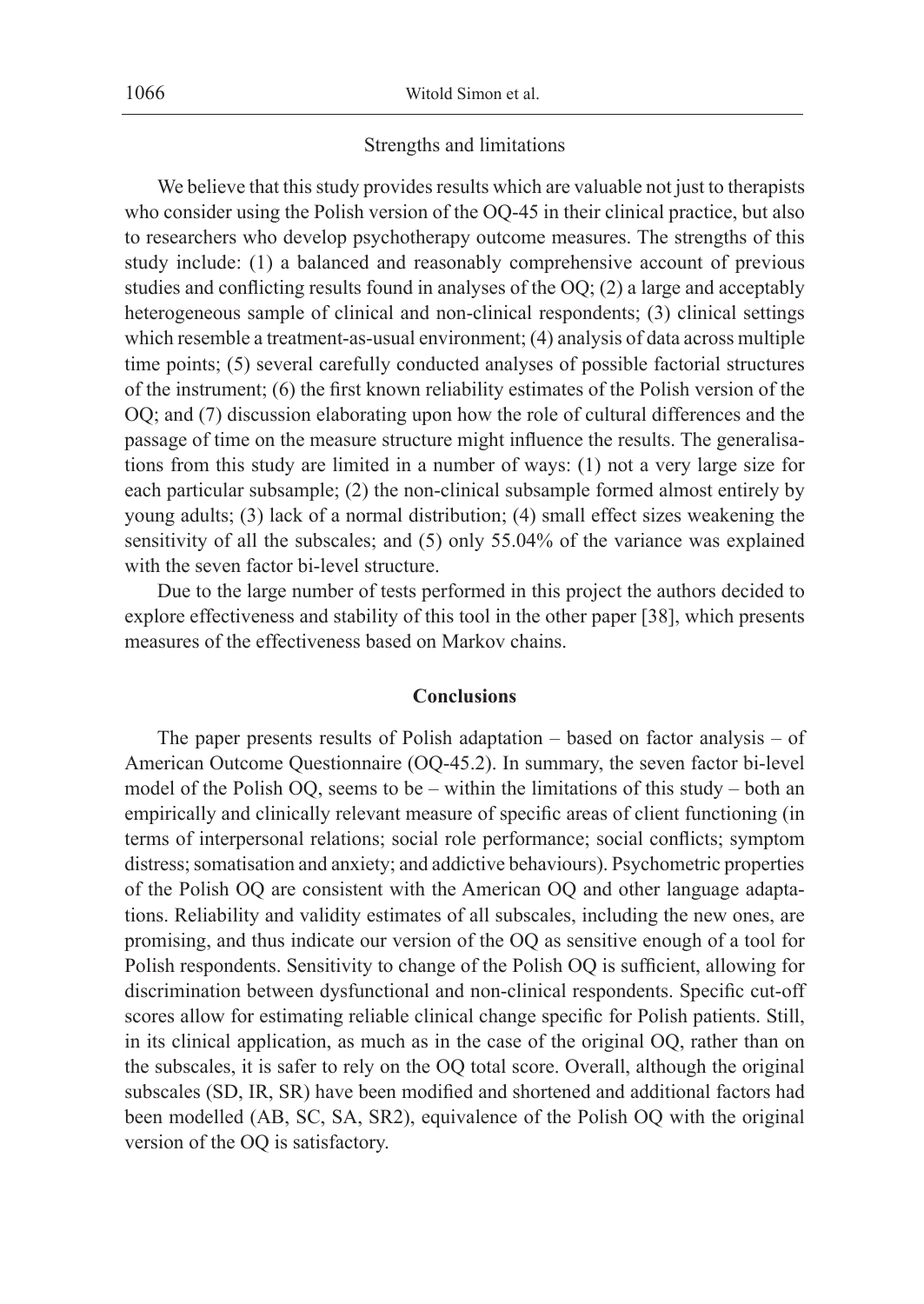### Strengths and limitations

We believe that this study provides results which are valuable not just to therapists who consider using the Polish version of the OQ-45 in their clinical practice, but also to researchers who develop psychotherapy outcome measures. The strengths of this study include: (1) a balanced and reasonably comprehensive account of previous studies and conflicting results found in analyses of the OQ; (2) a large and acceptably heterogeneous sample of clinical and non-clinical respondents; (3) clinical settings which resemble a treatment-as-usual environment; (4) analysis of data across multiple time points; (5) several carefully conducted analyses of possible factorial structures of the instrument; (6) the first known reliability estimates of the Polish version of the OQ; and (7) discussion elaborating upon how the role of cultural differences and the passage of time on the measure structure might influence the results. The generalisations from this study are limited in a number of ways: (1) not a very large size for each particular subsample; (2) the non-clinical subsample formed almost entirely by young adults; (3) lack of a normal distribution; (4) small effect sizes weakening the sensitivity of all the subscales; and (5) only 55.04% of the variance was explained with the seven factor bi-level structure.

Due to the large number of tests performed in this project the authors decided to explore effectiveness and stability of this tool in the other paper [38], which presents measures of the effectiveness based on Markov chains.

### **Conclusions**

The paper presents results of Polish adaptation – based on factor analysis – of American Outcome Questionnaire (OQ-45.2). In summary, the seven factor bi-level model of the Polish OQ, seems to be – within the limitations of this study – both an empirically and clinically relevant measure of specific areas of client functioning (in terms of interpersonal relations; social role performance; social conflicts; symptom distress; somatisation and anxiety; and addictive behaviours). Psychometric properties of the Polish OQ are consistent with the American OQ and other language adaptations. Reliability and validity estimates of all subscales, including the new ones, are promising, and thus indicate our version of the OQ as sensitive enough of a tool for Polish respondents. Sensitivity to change of the Polish OQ is sufficient, allowing for discrimination between dysfunctional and non-clinical respondents. Specific cut-off scores allow for estimating reliable clinical change specific for Polish patients. Still, in its clinical application, as much as in the case of the original OQ, rather than on the subscales, it is safer to rely on the OQ total score. Overall, although the original subscales (SD, IR, SR) have been modified and shortened and additional factors had been modelled (AB, SC, SA, SR2), equivalence of the Polish OQ with the original version of the OQ is satisfactory.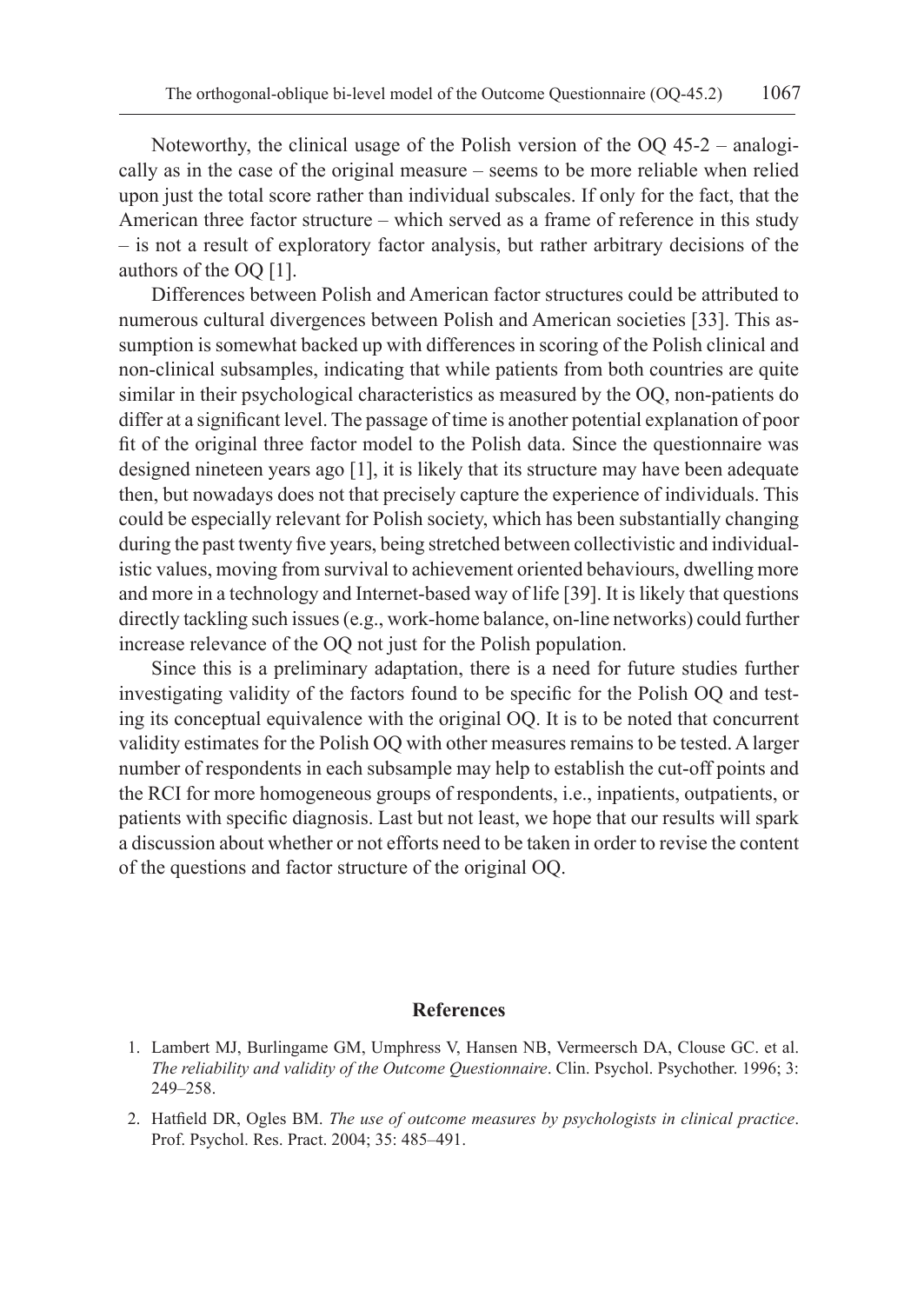Noteworthy, the clinical usage of the Polish version of the OQ 45-2 – analogically as in the case of the original measure – seems to be more reliable when relied upon just the total score rather than individual subscales. If only for the fact, that the American three factor structure – which served as a frame of reference in this study – is not a result of exploratory factor analysis, but rather arbitrary decisions of the authors of the OQ [1].

Differences between Polish and American factor structures could be attributed to numerous cultural divergences between Polish and American societies [33]. This assumption is somewhat backed up with differences in scoring of the Polish clinical and non-clinical subsamples, indicating that while patients from both countries are quite similar in their psychological characteristics as measured by the OQ, non-patients do differ at a significant level. The passage of time is another potential explanation of poor fit of the original three factor model to the Polish data. Since the questionnaire was designed nineteen years ago [1], it is likely that its structure may have been adequate then, but nowadays does not that precisely capture the experience of individuals. This could be especially relevant for Polish society, which has been substantially changing during the past twenty five years, being stretched between collectivistic and individualistic values, moving from survival to achievement oriented behaviours, dwelling more and more in a technology and Internet-based way of life [39]. It is likely that questions directly tackling such issues (e.g., work-home balance, on-line networks) could further increase relevance of the OQ not just for the Polish population.

Since this is a preliminary adaptation, there is a need for future studies further investigating validity of the factors found to be specific for the Polish OQ and testing its conceptual equivalence with the original OQ. It is to be noted that concurrent validity estimates for the Polish OQ with other measures remains to be tested. A larger number of respondents in each subsample may help to establish the cut-off points and the RCI for more homogeneous groups of respondents, i.e., inpatients, outpatients, or patients with specific diagnosis. Last but not least, we hope that our results will spark a discussion about whether or not efforts need to be taken in order to revise the content of the questions and factor structure of the original OQ.

### **References**

- 1. Lambert MJ, Burlingame GM, Umphress V, Hansen NB, Vermeersch DA, Clouse GC. et al. *The reliability and validity of the Outcome Questionnaire*. Clin. Psychol. Psychother. 1996; 3: 249–258.
- 2. Hatfield DR, Ogles BM. *The use of outcome measures by psychologists in clinical practice*. Prof. Psychol. Res. Pract. 2004; 35: 485–491.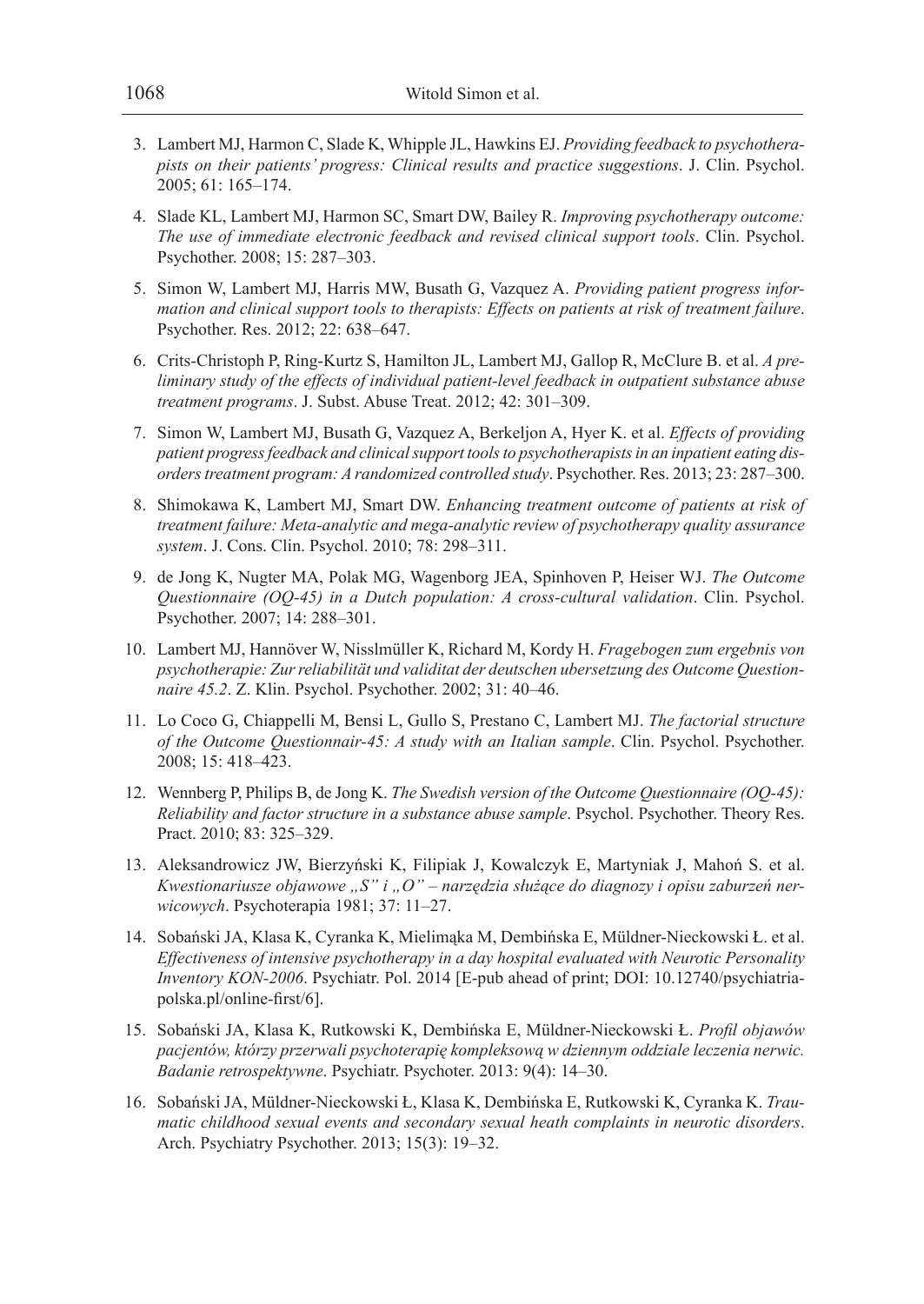- 3. Lambert MJ, Harmon C, Slade K, Whipple JL, Hawkins EJ. *Providing feedback to psychotherapists on their patients' progress: Clinical results and practice suggestions*. J. Clin. Psychol. 2005; 61: 165–174.
- 4. Slade KL, Lambert MJ, Harmon SC, Smart DW, Bailey R. *Improving psychotherapy outcome: The use of immediate electronic feedback and revised clinical support tools*. Clin. Psychol. Psychother. 2008; 15: 287–303.
- 5. Simon W, Lambert MJ, Harris MW, Busath G, Vazquez A. *Providing patient progress information and clinical support tools to therapists: Effects on patients at risk of treatment failure*. Psychother. Res. 2012; 22: 638–647.
- 6. Crits-Christoph P, Ring-Kurtz S, Hamilton JL, Lambert MJ, Gallop R, McClure B. et al. *A preliminary study of the effects of individual patient-level feedback in outpatient substance abuse treatment programs*. J. Subst. Abuse Treat. 2012; 42: 301–309.
- 7. Simon W, Lambert MJ, Busath G, Vazquez A, Berkeljon A, Hyer K. et al. *Effects of providing patient progress feedback and clinical support tools to psychotherapists in an inpatient eating disorders treatment program: A randomized controlled study*. Psychother. Res. 2013; 23: 287–300.
- 8. Shimokawa K, Lambert MJ, Smart DW. *Enhancing treatment outcome of patients at risk of treatment failure: Meta-analytic and mega-analytic review of psychotherapy quality assurance system*. J. Cons. Clin. Psychol. 2010; 78: 298–311.
- 9. de Jong K, Nugter MA, Polak MG, Wagenborg JEA, Spinhoven P, Heiser WJ. *The Outcome Questionnaire (OQ-45) in a Dutch population: A cross-cultural validation*. Clin. Psychol. Psychother. 2007; 14: 288–301.
- 10. Lambert MJ, Hannöver W, Nisslmüller K, Richard M, Kordy H. *Fragebogen zum ergebnis von psychotherapie: Zur reliabilität und validitat der deutschen ubersetzung des Outcome Questionnaire 45.2*. Z. Klin. Psychol. Psychother. 2002; 31: 40–46.
- 11. Lo Coco G, Chiappelli M, Bensi L, Gullo S, Prestano C, Lambert MJ. *The factorial structure of the Outcome Questionnair-45: A study with an Italian sample*. Clin. Psychol. Psychother. 2008; 15: 418–423.
- 12. Wennberg P, Philips B, de Jong K. *The Swedish version of the Outcome Questionnaire (OQ-45): Reliability and factor structure in a substance abuse sample*. Psychol. Psychother. Theory Res. Pract. 2010; 83: 325–329.
- 13. Aleksandrowicz JW, Bierzyński K, Filipiak J, Kowalczyk E, Martyniak J, Mahoń S. et al. Kwestionariusze objawowe "S" i "O" – narzędzia służące do diagnozy i opisu zaburzeń ner*wicowych*. Psychoterapia 1981; 37: 11–27.
- 14. Sobański JA, Klasa K, Cyranka K, Mielimąka M, Dembińska E, Müldner-Nieckowski Ł. et al. *Effectiveness of intensive psychotherapy in a day hospital evaluated with Neurotic Personality Inventory KON-2006*. Psychiatr. Pol. 2014 [E-pub ahead of print; DOI: 10.12740/psychiatriapolska.pl/online-first/6].
- 15. Sobański JA, Klasa K, Rutkowski K, Dembińska E, Müldner-Nieckowski Ł. *Profil objawów pacjentów, którzy przerwali psychoterapię kompleksową w dziennym oddziale leczenia nerwic. Badanie retrospektywne*. Psychiatr. Psychoter. 2013: 9(4): 14–30.
- 16. Sobański JA, Müldner-Nieckowski Ł, Klasa K, Dembińska E, Rutkowski K, Cyranka K. *Traumatic childhood sexual events and secondary sexual heath complaints in neurotic disorders*. Arch. Psychiatry Psychother. 2013; 15(3): 19–32.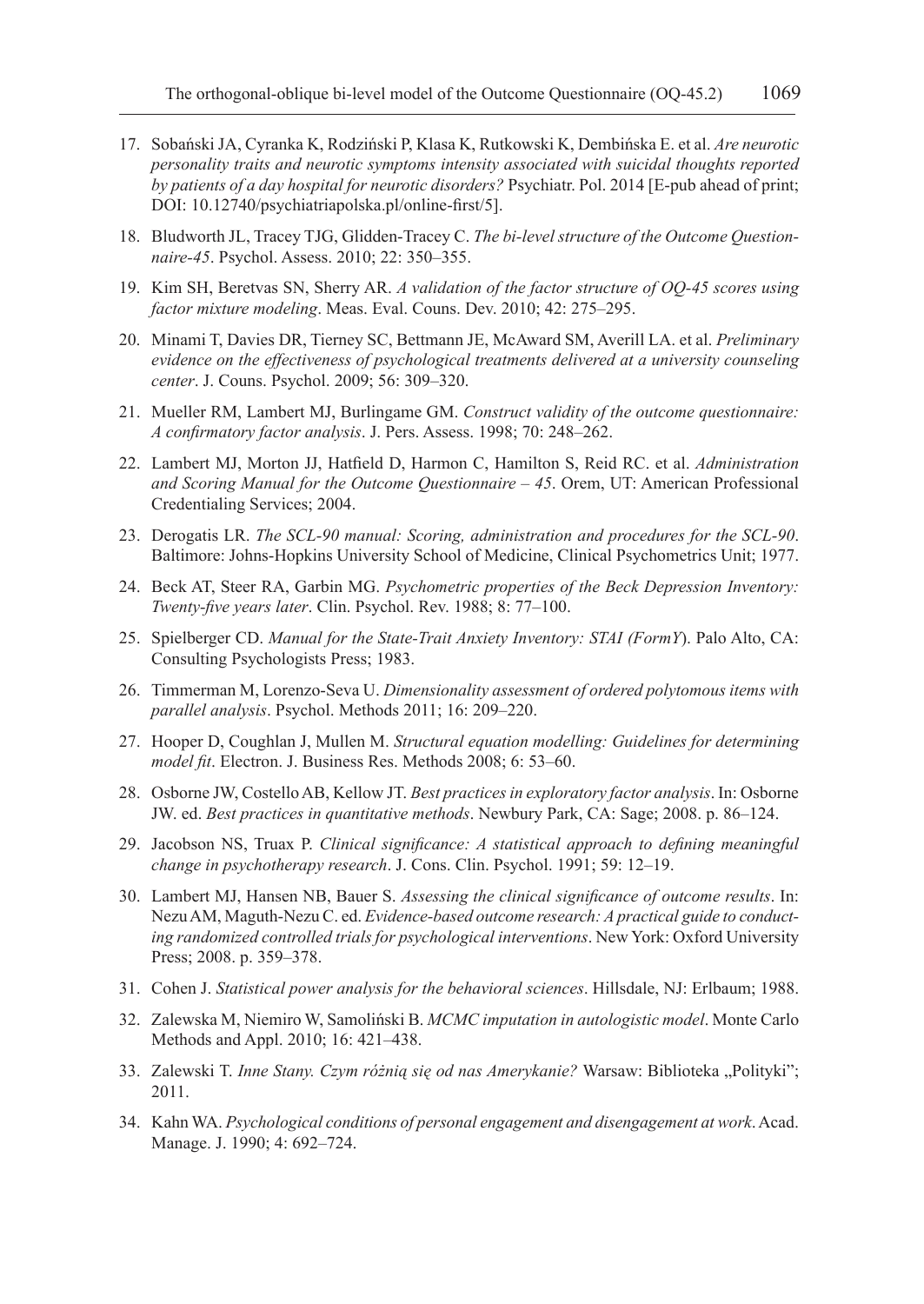- 17. Sobański JA, Cyranka K, Rodziński P, Klasa K, Rutkowski K, Dembińska E. et al. *Are neurotic personality traits and neurotic symptoms intensity associated with suicidal thoughts reported by patients of a day hospital for neurotic disorders?* Psychiatr. Pol. 2014 [E-pub ahead of print; DOI: 10.12740/psychiatriapolska.pl/online-first/5].
- 18. Bludworth JL, Tracey TJG, Glidden-Tracey C. *The bi-level structure of the Outcome Questionnaire-45*. Psychol. Assess. 2010; 22: 350–355.
- 19. Kim SH, Beretvas SN, Sherry AR. *A validation of the factor structure of OQ-45 scores using factor mixture modeling*. Meas. Eval. Couns. Dev. 2010; 42: 275–295.
- 20. Minami T, Davies DR, Tierney SC, Bettmann JE, McAward SM, Averill LA. et al. *Preliminary evidence on the effectiveness of psychological treatments delivered at a university counseling center*. J. Couns. Psychol. 2009; 56: 309–320.
- 21. Mueller RM, Lambert MJ, Burlingame GM. *Construct validity of the outcome questionnaire: A confirmatory factor analysis*. J. Pers. Assess. 1998; 70: 248–262.
- 22. Lambert MJ, Morton JJ, Hatfield D, Harmon C, Hamilton S, Reid RC. et al. *Administration and Scoring Manual for the Outcome Questionnaire – 45*. Orem, UT: American Professional Credentialing Services; 2004.
- 23. Derogatis LR. *The SCL-90 manual: Scoring, administration and procedures for the SCL-90*. Baltimore: Johns-Hopkins University School of Medicine, Clinical Psychometrics Unit; 1977.
- 24. Beck AT, Steer RA, Garbin MG. *Psychometric properties of the Beck Depression Inventory: Twenty-five years later*. Clin. Psychol. Rev. 1988; 8: 77–100.
- 25. Spielberger CD. *Manual for the State-Trait Anxiety Inventory: STAI (FormY*). Palo Alto, CA: Consulting Psychologists Press; 1983.
- 26. Timmerman M, Lorenzo-Seva U. *Dimensionality assessment of ordered polytomous items with parallel analysis*. Psychol. Methods 2011; 16: 209–220.
- 27. Hooper D, Coughlan J, Mullen M. *Structural equation modelling: Guidelines for determining model fit*. Electron. J. Business Res. Methods 2008; 6: 53–60.
- 28. Osborne JW, Costello AB, Kellow JT. *Best practices in exploratory factor analysis*. In: Osborne JW. ed. *Best practices in quantitative methods*. Newbury Park, CA: Sage; 2008. p. 86–124.
- 29. Jacobson NS, Truax P. *Clinical significance: A statistical approach to defining meaningful change in psychotherapy research*. J. Cons. Clin. Psychol. 1991; 59: 12–19.
- 30. Lambert MJ, Hansen NB, Bauer S. *Assessing the clinical significance of outcome results*. In: Nezu AM, Maguth-Nezu C. ed. *Evidence-based outcome research: A practical guide to conducting randomized controlled trials for psychological interventions*. New York: Oxford University Press; 2008. p. 359–378.
- 31. Cohen J. *Statistical power analysis for the behavioral sciences*. Hillsdale, NJ: Erlbaum; 1988.
- 32. Zalewska M, Niemiro W, Samoliński B. *MCMC imputation in autologistic model*. Monte Carlo Methods and Appl. 2010; 16: 421–438.
- 33. Zalewski T. Inne Stany. Czym różnią się od nas Amerykanie? Warsaw: Biblioteka "Polityki"; 2011.
- 34. Kahn WA. *Psychological conditions of personal engagement and disengagement at work*. Acad. Manage. J. 1990; 4: 692–724.